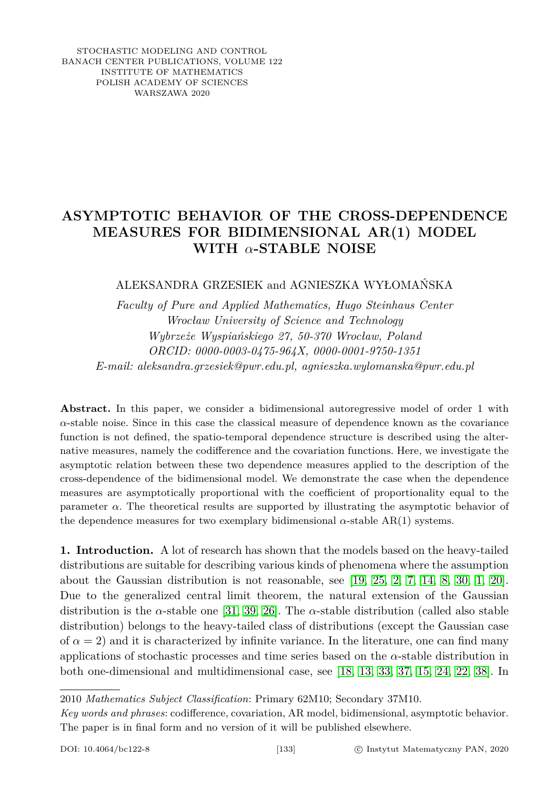STOCHASTIC MODELING AND CONTROL BANACH CENTER PUBLICATIONS, VOLUME 122 INSTITUTE OF MATHEMATICS POLISH ACADEMY OF SCIENCES WARSZAWA 2020

# **ASYMPTOTIC BEHAVIOR OF THE CROSS-DEPENDENCE MEASURES FOR BIDIMENSIONAL AR(1) MODEL WITH** *α***-STABLE NOISE**

# ALEKSANDRA GRZESIEK and AGNIESZKA WYŁOMAŃSKA

*Faculty of Pure and Applied Mathematics, Hugo Steinhaus Center Wrocław University of Science and Technology Wybrzeże Wyspiańskiego 27, 50-370 Wrocław, Poland ORCID: 0000-0003-0475-964X, 0000-0001-9750-1351 E-mail: aleksandra.grzesiek@pwr.edu.pl, agnieszka.wylomanska@pwr.edu.pl*

**Abstract.** In this paper, we consider a bidimensional autoregressive model of order 1 with  $\alpha$ -stable noise. Since in this case the classical measure of dependence known as the covariance function is not defined, the spatio-temporal dependence structure is described using the alternative measures, namely the codifference and the covariation functions. Here, we investigate the asymptotic relation between these two dependence measures applied to the description of the cross-dependence of the bidimensional model. We demonstrate the case when the dependence measures are asymptotically proportional with the coefficient of proportionality equal to the parameter  $\alpha$ . The theoretical results are supported by illustrating the asymptotic behavior of the dependence measures for two exemplary bidimensional  $\alpha$ -stable AR(1) systems.

**1. Introduction.** A lot of research has shown that the models based on the heavy-tailed distributions are suitable for describing various kinds of phenomena where the assumption about the Gaussian distribution is not reasonable, see [\[19,](#page-23-0) [25,](#page-23-1) [2,](#page-22-0) [7,](#page-22-1) [14,](#page-23-2) [8,](#page-22-2) [30,](#page-23-3) [1,](#page-22-3) [20\]](#page-23-4). Due to the generalized central limit theorem, the natural extension of the Gaussian distribution is the *α*-stable one [\[31,](#page-23-5) [39,](#page-24-0) [26\]](#page-23-6). The *α*-stable distribution (called also stable distribution) belongs to the heavy-tailed class of distributions (except the Gaussian case of  $\alpha = 2$ ) and it is characterized by infinite variance. In the literature, one can find many applications of stochastic processes and time series based on the *α*-stable distribution in both one-dimensional and multidimensional case, see [\[18,](#page-23-7) [13,](#page-23-8) [33,](#page-24-1) [37,](#page-24-2) [15,](#page-23-9) [24,](#page-23-10) [22,](#page-23-11) [38\]](#page-24-3). In

<sup>2010</sup> *Mathematics Subject Classification*: Primary 62M10; Secondary 37M10.

*Key words and phrases*: codifference, covariation, AR model, bidimensional, asymptotic behavior. The paper is in final form and no version of it will be published elsewhere.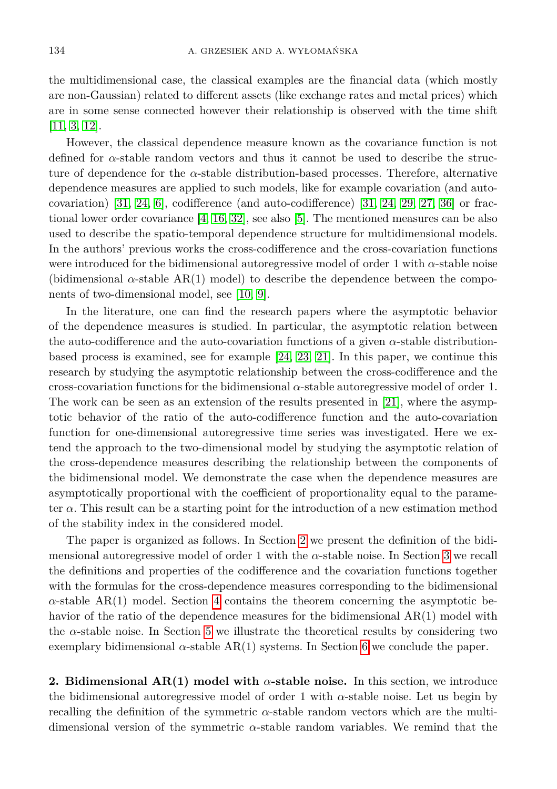the multidimensional case, the classical examples are the financial data (which mostly are non-Gaussian) related to different assets (like exchange rates and metal prices) which are in some sense connected however their relationship is observed with the time shift [\[11,](#page-23-12) [3,](#page-22-4) [12\]](#page-23-13).

However, the classical dependence measure known as the covariance function is not defined for *α*-stable random vectors and thus it cannot be used to describe the structure of dependence for the *α*-stable distribution-based processes. Therefore, alternative dependence measures are applied to such models, like for example covariation (and auto-covariation) [\[31,](#page-23-5) [24,](#page-23-10) [6\]](#page-22-5), codifference (and auto-codifference) [31, 24, [29,](#page-23-14) [27,](#page-23-15) [36\]](#page-24-4) or fractional lower order covariance [\[4,](#page-22-6) [16,](#page-23-16) [32\]](#page-24-5), see also [\[5\]](#page-22-7). The mentioned measures can be also used to describe the spatio-temporal dependence structure for multidimensional models. In the authors' previous works the cross-codifference and the cross-covariation functions were introduced for the bidimensional autoregressive model of order 1 with *α*-stable noise (bidimensional  $\alpha$ -stable AR(1) model) to describe the dependence between the components of two-dimensional model, see [\[10,](#page-22-8) [9\]](#page-22-9).

In the literature, one can find the research papers where the asymptotic behavior of the dependence measures is studied. In particular, the asymptotic relation between the auto-codifference and the auto-covariation functions of a given *α*-stable distributionbased process is examined, see for example [\[24,](#page-23-10) [23,](#page-23-17) [21\]](#page-23-18). In this paper, we continue this research by studying the asymptotic relationship between the cross-codifference and the cross-covariation functions for the bidimensional *α*-stable autoregressive model of order 1. The work can be seen as an extension of the results presented in [\[21\]](#page-23-18), where the asymptotic behavior of the ratio of the auto-codifference function and the auto-covariation function for one-dimensional autoregressive time series was investigated. Here we extend the approach to the two-dimensional model by studying the asymptotic relation of the cross-dependence measures describing the relationship between the components of the bidimensional model. We demonstrate the case when the dependence measures are asymptotically proportional with the coefficient of proportionality equal to the parameter *α*. This result can be a starting point for the introduction of a new estimation method of the stability index in the considered model.

The paper is organized as follows. In Section [2](#page-1-0) we present the definition of the bidimensional autoregressive model of order 1 with the *α*-stable noise. In Section [3](#page-3-0) we recall the definitions and properties of the codifference and the covariation functions together with the formulas for the cross-dependence measures corresponding to the bidimensional  $\alpha$ -stable AR(1) model. Section [4](#page-6-0) contains the theorem concerning the asymptotic behavior of the ratio of the dependence measures for the bidimensional  $AR(1)$  model with the  $\alpha$ -stable noise. In Section [5](#page-7-0) we illustrate the theoretical results by considering two exemplary bidimensional  $\alpha$ -stable AR(1) systems. In Section [6](#page-9-0) we conclude the paper.

<span id="page-1-0"></span>**2. Bidimensional AR(1) model with** *α***-stable noise.** In this section, we introduce the bidimensional autoregressive model of order 1 with  $\alpha$ -stable noise. Let us begin by recalling the definition of the symmetric *α*-stable random vectors which are the multidimensional version of the symmetric *α*-stable random variables. We remind that the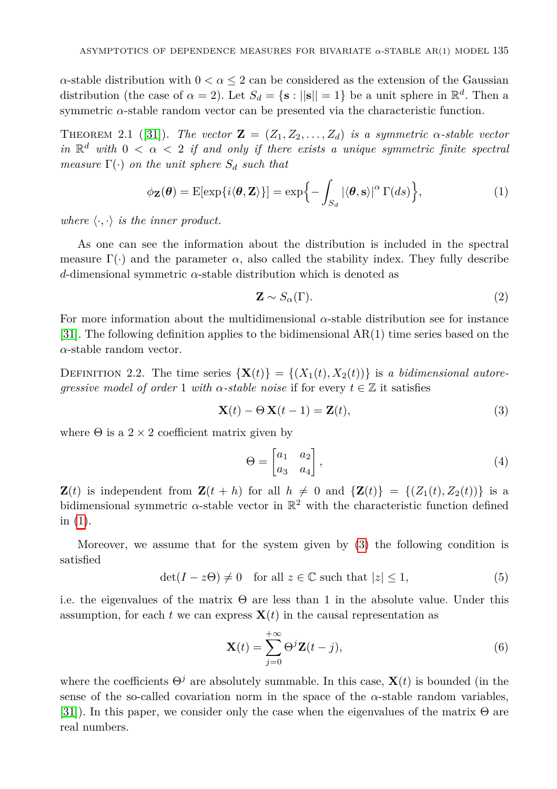*α*-stable distribution with  $0 < \alpha \leq 2$  can be considered as the extension of the Gaussian distribution (the case of  $\alpha = 2$ ). Let  $S_d = \{ \mathbf{s} : ||\mathbf{s}|| = 1 \}$  be a unit sphere in  $\mathbb{R}^d$ . Then a symmetric  $\alpha$ -stable random vector can be presented via the characteristic function.

**THEOREM** 2.1 ([\[31\]](#page-23-5)). *The vector*  $\mathbf{Z} = (Z_1, Z_2, \ldots, Z_d)$  *is a symmetric*  $\alpha$ -stable vector *in*  $\mathbb{R}^d$  *with*  $0 < \alpha < 2$  *if and only if there exists a unique symmetric finite spectral measure*  $\Gamma(\cdot)$  *on the unit sphere*  $S_d$  *such that* 

$$
\phi_{\mathbf{Z}}(\boldsymbol{\theta}) = \mathrm{E}[\exp\{i\langle \boldsymbol{\theta}, \mathbf{Z} \rangle\}] = \exp\{-\int_{S_d} |\langle \boldsymbol{\theta}, \mathbf{s} \rangle|^{\alpha} \Gamma(ds)\},\tag{1}
$$

*where*  $\langle \cdot, \cdot \rangle$  *is the inner product.* 

As one can see the information about the distribution is included in the spectral measure  $\Gamma(\cdot)$  and the parameter  $\alpha$ , also called the stability index. They fully describe *d*-dimensional symmetric *α*-stable distribution which is denoted as

<span id="page-2-1"></span><span id="page-2-0"></span>
$$
\mathbf{Z} \sim S_{\alpha}(\Gamma). \tag{2}
$$

For more information about the multidimensional  $\alpha$ -stable distribution see for instance [\[31\]](#page-23-5). The following definition applies to the bidimensional AR(1) time series based on the *α*-stable random vector.

DEFINITION 2.2. The time series  $\{X(t)\} = \{(X_1(t), X_2(t))\}$  is a bidimensional autore*gressive model of order* 1 *with*  $\alpha$ -stable noise if for every  $t \in \mathbb{Z}$  it satisfies

$$
\mathbf{X}(t) - \Theta \mathbf{X}(t-1) = \mathbf{Z}(t),\tag{3}
$$

where  $\Theta$  is a 2  $\times$  2 coefficient matrix given by

$$
\Theta = \begin{bmatrix} a_1 & a_2 \\ a_3 & a_4 \end{bmatrix},\tag{4}
$$

**Z**(*t*) is independent from  $\mathbf{Z}(t + h)$  for all  $h \neq 0$  and  $\{\mathbf{Z}(t)\} = \{(Z_1(t), Z_2(t))\}$  is a bidimensional symmetric  $\alpha$ -stable vector in  $\mathbb{R}^2$  with the characteristic function defined in [\(1\)](#page-2-0).

Moreover, we assume that for the system given by [\(3\)](#page-2-1) the following condition is satisfied

$$
\det(I - z\Theta) \neq 0 \quad \text{for all } z \in \mathbb{C} \text{ such that } |z| \le 1,
$$
 (5)

i.e. the eigenvalues of the matrix  $\Theta$  are less than 1 in the absolute value. Under this assumption, for each  $t$  we can express  $\mathbf{X}(t)$  in the causal representation as

<span id="page-2-2"></span>
$$
\mathbf{X}(t) = \sum_{j=0}^{+\infty} \Theta^j \mathbf{Z}(t-j),\tag{6}
$$

where the coefficients  $\Theta^j$  are absolutely summable. In this case,  $\mathbf{X}(t)$  is bounded (in the sense of the so-called covariation norm in the space of the  $\alpha$ -stable random variables, [\[31\]](#page-23-5)). In this paper, we consider only the case when the eigenvalues of the matrix  $\Theta$  are real numbers.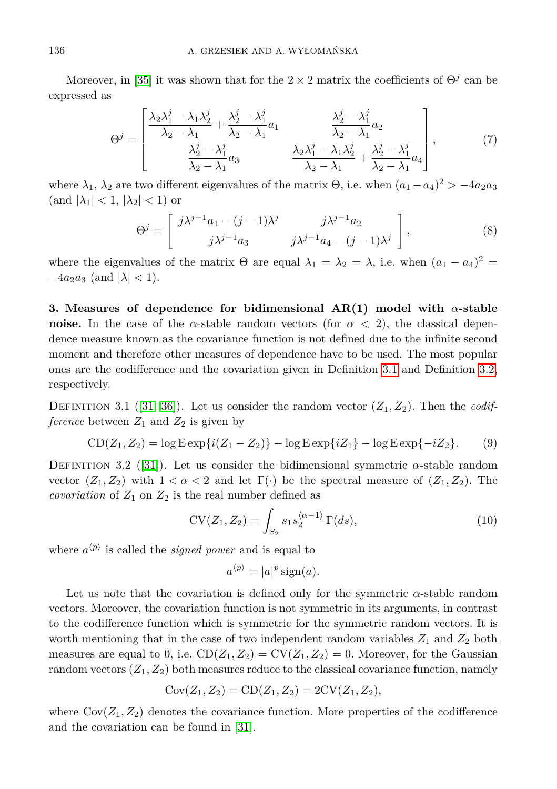Moreover, in [\[35\]](#page-24-6) it was shown that for the  $2 \times 2$  matrix the coefficients of  $\Theta^j$  can be expressed as

<span id="page-3-5"></span>
$$
\Theta^{j} = \begin{bmatrix} \frac{\lambda_2 \lambda_1^j - \lambda_1 \lambda_2^j}{\lambda_2 - \lambda_1} + \frac{\lambda_2^j - \lambda_1^j}{\lambda_2 - \lambda_1} a_1 & \frac{\lambda_2^j - \lambda_1^j}{\lambda_2 - \lambda_1} a_2 \\ \frac{\lambda_2^j - \lambda_1^j}{\lambda_2 - \lambda_1} a_3 & \frac{\lambda_2 \lambda_1^j - \lambda_1 \lambda_2^j}{\lambda_2 - \lambda_1} + \frac{\lambda_2^j - \lambda_1^j}{\lambda_2 - \lambda_1} a_4 \end{bmatrix},
$$
(7)

where  $\lambda_1$ ,  $\lambda_2$  are two different eigenvalues of the matrix  $\Theta$ , i.e. when  $(a_1 - a_4)^2 > -4a_2a_3$  $\left(\text{and } |\lambda_1| < 1, |\lambda_2| < 1\right)$  or

<span id="page-3-6"></span>
$$
\Theta^{j} = \begin{bmatrix} j\lambda^{j-1}a_1 - (j-1)\lambda^{j} & j\lambda^{j-1}a_2 \\ j\lambda^{j-1}a_3 & j\lambda^{j-1}a_4 - (j-1)\lambda^{j} \end{bmatrix},
$$
\n(8)

where the eigenvalues of the matrix  $\Theta$  are equal  $\lambda_1 = \lambda_2 = \lambda$ , i.e. when  $(a_1 - a_4)^2 =$  $-4a_2a_3$  (and  $|\lambda| < 1$ ).

<span id="page-3-0"></span>**3. Measures of dependence for bidimensional AR(1) model with** *α***-stable noise.** In the case of the *α*-stable random vectors (for  $\alpha < 2$ ), the classical dependence measure known as the covariance function is not defined due to the infinite second moment and therefore other measures of dependence have to be used. The most popular ones are the codifference and the covariation given in Definition [3.1](#page-3-1) and Definition [3.2,](#page-3-2) respectively.

<span id="page-3-1"></span>DEFINITION 3.1 ([\[31,](#page-23-5) [36\]](#page-24-4)). Let us consider the random vector  $(Z_1, Z_2)$ . Then the *codifference* between  $Z_1$  and  $Z_2$  is given by

$$
CD(Z_1, Z_2) = \log E \exp\{i(Z_1 - Z_2)\} - \log E \exp\{iZ_1\} - \log E \exp\{-iZ_2\}.
$$
 (9)

<span id="page-3-2"></span>DEFINITION 3.2 ([\[31\]](#page-23-5)). Let us consider the bidimensional symmetric  $\alpha$ -stable random vector  $(Z_1, Z_2)$  with  $1 < \alpha < 2$  and let  $\Gamma(\cdot)$  be the spectral measure of  $(Z_1, Z_2)$ . The *covariation* of  $Z_1$  on  $Z_2$  is the real number defined as

<span id="page-3-3"></span>
$$
CV(Z_1, Z_2) = \int_{S_2} s_1 s_2^{\langle \alpha - 1 \rangle} \Gamma(ds),
$$
\n(10)

where  $a^{\langle p \rangle}$  is called the *signed power* and is equal to

<span id="page-3-4"></span>
$$
a^{\langle p \rangle} = |a|^p \operatorname{sign}(a).
$$

Let us note that the covariation is defined only for the symmetric *α*-stable random vectors. Moreover, the covariation function is not symmetric in its arguments, in contrast to the codifference function which is symmetric for the symmetric random vectors. It is worth mentioning that in the case of two independent random variables  $Z_1$  and  $Z_2$  both measures are equal to 0, i.e.  $CD(Z_1, Z_2) = CV(Z_1, Z_2) = 0$ . Moreover, for the Gaussian random vectors  $(Z_1, Z_2)$  both measures reduce to the classical covariance function, namely

$$
Cov(Z_1, Z_2) = CD(Z_1, Z_2) = 2CV(Z_1, Z_2),
$$

where  $Cov(Z_1, Z_2)$  denotes the covariance function. More properties of the codifference and the covariation can be found in [\[31\]](#page-23-5).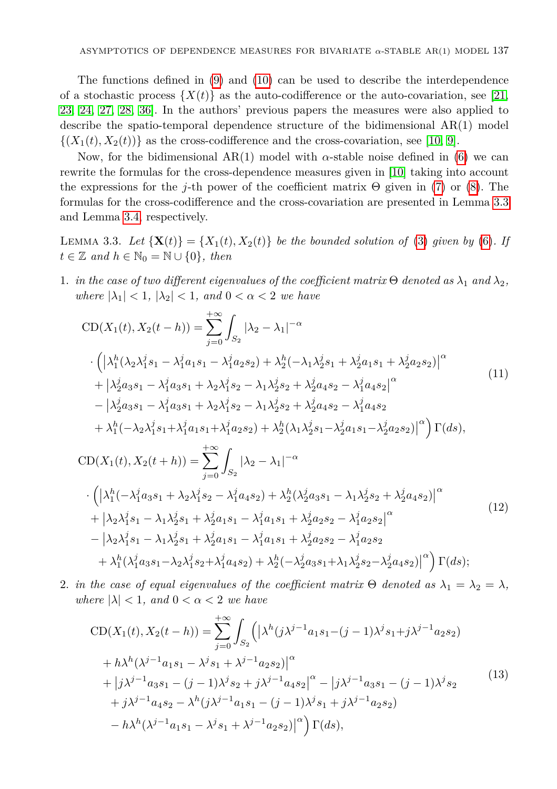The functions defined in [\(9\)](#page-3-3) and [\(10\)](#page-3-4) can be used to describe the interdependence of a stochastic process  $\{X(t)\}\$ as the auto-codifference or the auto-covariation, see [\[21,](#page-23-18) [23,](#page-23-17) [24,](#page-23-10) [27,](#page-23-15) [28,](#page-23-19) [36\]](#page-24-4). In the authors' previous papers the measures were also applied to describe the spatio-temporal dependence structure of the bidimensional AR(1) model  $\{(X_1(t), X_2(t))\}$  as the cross-codifference and the cross-covariation, see [\[10,](#page-22-8) [9\]](#page-22-9).

Now, for the bidimensional AR(1) model with  $\alpha$ -stable noise defined in [\(6\)](#page-2-2) we can rewrite the formulas for the cross-dependence measures given in [\[10\]](#page-22-8) taking into account the expressions for the *j*-th power of the coefficient matrix Θ given in [\(7\)](#page-3-5) or [\(8\)](#page-3-6). The formulas for the cross-codifference and the cross-covariation are presented in Lemma [3.3](#page-4-0) and Lemma [3.4,](#page-5-0) respectively.

<span id="page-4-0"></span>LEMMA 3.3. Let  $\{X(t)\} = \{X_1(t), X_2(t)\}$  be the bounded solution of [\(3\)](#page-2-1) given by [\(6\)](#page-2-2). If  $t \in \mathbb{Z}$  *and*  $h \in \mathbb{N}_0 = \mathbb{N} \cup \{0\}$ *, then* 

1. *in the case of two different eigenvalues of the coefficient matrix*  $\Theta$  *denoted as*  $\lambda_1$  *and*  $\lambda_2$ *, where*  $|\lambda_1| < 1$ ,  $|\lambda_2| < 1$ , and  $0 < \alpha < 2$  *we have* 

<span id="page-4-1"></span>
$$
CD(X_{1}(t), X_{2}(t-h)) = \sum_{j=0}^{+\infty} \int_{S_{2}} |\lambda_{2} - \lambda_{1}|^{-\alpha}
$$
  
\n
$$
\cdot \left( |\lambda_{1}^{h}(\lambda_{2}\lambda_{1}^{j}s_{1} - \lambda_{1}^{j}a_{1}s_{1} - \lambda_{1}^{j}a_{2}s_{2}) + \lambda_{2}^{h}(-\lambda_{1}\lambda_{2}^{j}s_{1} + \lambda_{2}^{j}a_{1}s_{1} + \lambda_{2}^{j}a_{2}s_{2})|^{\alpha} + |\lambda_{2}^{j}a_{3}s_{1} - \lambda_{1}^{j}a_{3}s_{1} + \lambda_{2}\lambda_{1}^{j}s_{2} - \lambda_{1}\lambda_{2}^{j}s_{2} + \lambda_{2}^{j}a_{4}s_{2} - \lambda_{1}^{j}a_{4}s_{2}|^{\alpha} - |\lambda_{2}^{j}a_{3}s_{1} - \lambda_{1}^{j}a_{3}s_{1} + \lambda_{2}\lambda_{1}^{j}s_{2} - \lambda_{1}\lambda_{2}^{j}s_{2} + \lambda_{2}^{j}a_{4}s_{2} - \lambda_{1}^{j}a_{4}s_{2} + \lambda_{1}^{h}(-\lambda_{2}\lambda_{1}^{j}s_{1} + \lambda_{1}^{j}a_{1}s_{1} + \lambda_{1}^{j}a_{2}s_{2}) + \lambda_{2}^{h}(\lambda_{1}\lambda_{2}^{j}s_{1} - \lambda_{2}^{j}a_{1}s_{1} - \lambda_{2}^{j}a_{2}s_{2})|^{\alpha} \right) \Gamma(ds),
$$
  
\n
$$
CD(X_{1}(t), X_{2}(t+h)) = \sum_{j=0}^{+\infty} \int_{S_{2}} |\lambda_{2} - \lambda_{1}|^{-\alpha}
$$
  
\n
$$
\cdot \left( |\lambda_{1}^{h}(-\lambda_{1}^{j}a_{3}s_{1} + \lambda_{2}\lambda_{1}^{j}s_{2} - \lambda_{1}^{j}a_{4}s_{2}) + \lambda_{2}^{h}(\lambda_{2}^{j}a_{3}s_{1} - \lambda_{1}\lambda_{2}^{j}s_{2} + \lambda_{2}^{j}a_{4}s_{2})|^{\alpha} + |\lambda_{2}\lambda_{1}^{j}s_{1} - \lambda_{1}\lambda_{2}^{j}s_{1} + \lambda_{2}^{j}a_{1}s_{1} - \lambda_{1}^{j}a_{1}s_{1}
$$

<span id="page-4-3"></span>+ 
$$
\lambda_1^h(\lambda_1^ja_3s_1-\lambda_2\lambda_1^ja_2+\lambda_1^ja_4s_2)+\lambda_2^h(-\lambda_2^ja_3s_1+\lambda_1\lambda_2^js_2-\lambda_2^ja_4s_2)\big|^{\alpha}\Big)\Gamma(ds);
$$

2. *in the case of equal eigenvalues of the coefficient matrix*  $\Theta$  *denoted as*  $\lambda_1 = \lambda_2 = \lambda$ *, where*  $|\lambda| < 1$ *, and*  $0 < \alpha < 2$  *we have* 

<span id="page-4-2"></span>
$$
CD(X_1(t), X_2(t - h)) = \sum_{j=0}^{+\infty} \int_{S_2} (|\lambda^h(j\lambda^{j-1}a_1s_1 - (j-1)\lambda^j s_1 + j\lambda^{j-1}a_2s_2) + h\lambda^h(\lambda^{j-1}a_1s_1 - \lambda^j s_1 + \lambda^{j-1}a_2s_2)|^{\alpha} + |j\lambda^{j-1}a_3s_1 - (j-1)\lambda^j s_2 + j\lambda^{j-1}a_4s_2|^{\alpha} - |j\lambda^{j-1}a_3s_1 - (j-1)\lambda^j s_2 + j\lambda^{j-1}a_4s_2 - \lambda^h(j\lambda^{j-1}a_1s_1 - (j-1)\lambda^j s_1 + j\lambda^{j-1}a_2s_2) - h\lambda^h(\lambda^{j-1}a_1s_1 - \lambda^j s_1 + \lambda^{j-1}a_2s_2)|^{\alpha} \Big) \Gamma(ds),
$$
\n
$$
(13)
$$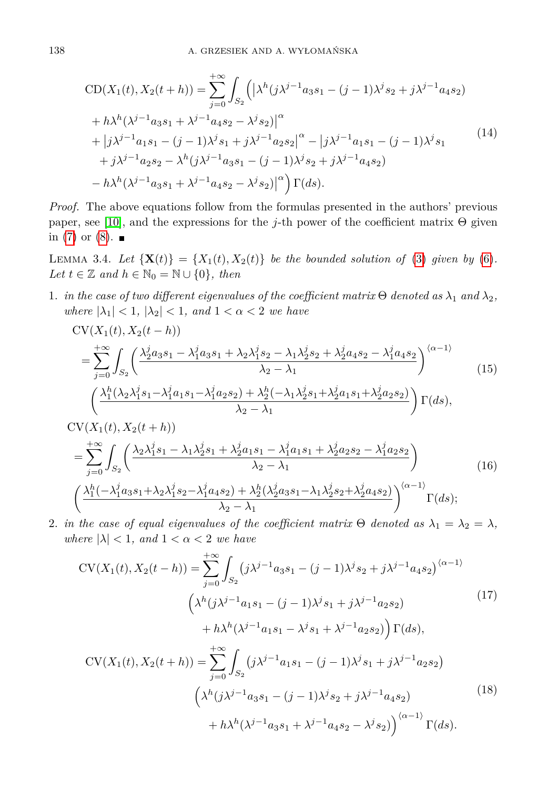<span id="page-5-1"></span>
$$
CD(X_1(t), X_2(t + h)) = \sum_{j=0}^{+\infty} \int_{S_2} \left( \left| \lambda^h(j\lambda^{j-1}a_3s_1 - (j-1)\lambda^j s_2 + j\lambda^{j-1}a_4s_2 \right) \right. \\
\left. + h\lambda^h(\lambda^{j-1}a_3s_1 + \lambda^{j-1}a_4s_2 - \lambda^j s_2) \right|^{\alpha} \\
+ \left| j\lambda^{j-1}a_1s_1 - (j-1)\lambda^j s_1 + j\lambda^{j-1}a_2s_2 \right|^{\alpha} - \left| j\lambda^{j-1}a_1s_1 - (j-1)\lambda^j s_1 \right. \\
\left. + j\lambda^{j-1}a_2s_2 - \lambda^h(j\lambda^{j-1}a_3s_1 - (j-1)\lambda^j s_2 + j\lambda^{j-1}a_4s_2) \right. \\
\left. - h\lambda^h(\lambda^{j-1}a_3s_1 + \lambda^{j-1}a_4s_2 - \lambda^j s_2) \right|^{\alpha} \right) \Gamma(ds).
$$
\n
$$
(14)
$$

*Proof.* The above equations follow from the formulas presented in the authors' previous paper, see [\[10\]](#page-22-8), and the expressions for the *j*-th power of the coefficient matrix Θ given in [\(7\)](#page-3-5) or  $(8)$ .

<span id="page-5-0"></span>LEMMA 3.4. Let  $\{X(t)\} = \{X_1(t), X_2(t)\}$  be the bounded solution of [\(3\)](#page-2-1) given by [\(6\)](#page-2-2). *Let*  $t \in \mathbb{Z}$  *and*  $h \in \mathbb{N}_0 = \mathbb{N} \cup \{0\}$ *, then* 

1. *in the case of two different eigenvalues of the coefficient matrix*  $\Theta$  *denoted as*  $\lambda_1$  *and*  $\lambda_2$ *, where*  $|\lambda_1| < 1$ ,  $|\lambda_2| < 1$ , and  $1 < \alpha < 2$  *we have* 

<span id="page-5-2"></span>
$$
CV(X_1(t), X_2(t - h))
$$
\n
$$
= \sum_{j=0}^{+\infty} \int_{S_2} \left( \frac{\lambda_2^j a_3 s_1 - \lambda_1^j a_3 s_1 + \lambda_2 \lambda_1^j s_2 - \lambda_1 \lambda_2^j s_2 + \lambda_2^j a_4 s_2 - \lambda_1^j a_4 s_2}{\lambda_2 - \lambda_1} \right)^{\langle \alpha - 1 \rangle} \tag{15}
$$
\n
$$
\left( \frac{\lambda_1^h (\lambda_2 \lambda_1^j s_1 - \lambda_1^j a_1 s_1 - \lambda_1^j a_2 s_2) + \lambda_2^h (-\lambda_1 \lambda_2^j s_1 + \lambda_2^j a_1 s_1 + \lambda_2^j a_2 s_2)}{\lambda_2 - \lambda_1} \right) \Gamma(ds),
$$
\n
$$
CV(X_1(t), X_2(t + h))
$$
\n
$$
\sum_{k=0}^{+\infty} \int (\lambda_2 \lambda_1^j s_1 - \lambda_1 \lambda_2^j s_1 + \lambda_2^j a_1 s_1 - \lambda_1^j a_1 s_1 + \lambda_2^j a_2 s_2 - \lambda_1^j a_2 s_2)
$$
\n
$$
(15)
$$

<span id="page-5-4"></span>
$$
= \sum_{j=0} \int_{S_2} \left( \frac{\lambda_2 \lambda_1 s_1 - \lambda_1 \lambda_2 s_1 + \lambda_2 u_1 s_1 - \lambda_1 u_1 s_1 + \lambda_2 u_2 s_2 - \lambda_1 u_2 s_2}{\lambda_2 - \lambda_1} \right)
$$
(16)  

$$
\left( \frac{\lambda_1^h (-\lambda_1^j a_3 s_1 + \lambda_2 \lambda_1^j s_2 - \lambda_1^j a_4 s_2) + \lambda_2^h (\lambda_2^j a_3 s_1 - \lambda_1 \lambda_2^j s_2 + \lambda_2^j a_4 s_2)}{\lambda_2 - \lambda_1} \right)^{\langle \alpha - 1 \rangle} \Gamma(ds);
$$

2. *in the case of equal eigenvalues of the coefficient matrix*  $\Theta$  *denoted as*  $\lambda_1 = \lambda_2 = \lambda$ , *where*  $|\lambda| < 1$ *, and*  $1 < \alpha < 2$  *we have* 

<span id="page-5-5"></span><span id="page-5-3"></span>
$$
CV(X_1(t), X_2(t - h)) = \sum_{j=0}^{+\infty} \int_{S_2} (j\lambda^{j-1} a_3 s_1 - (j-1)\lambda^j s_2 + j\lambda^{j-1} a_4 s_2)^{\langle \alpha - 1 \rangle}
$$
  
\n
$$
\left(\lambda^h (j\lambda^{j-1} a_1 s_1 - (j-1)\lambda^j s_1 + j\lambda^{j-1} a_2 s_2) + h\lambda^h (\lambda^{j-1} a_1 s_1 - \lambda^j s_1 + \lambda^{j-1} a_2 s_2)\right) \Gamma(ds),
$$
  
\n
$$
CV(X_1(t), X_2(t + h)) = \sum_{j=0}^{+\infty} \int_{S_2} (j\lambda^{j-1} a_1 s_1 - (j-1)\lambda^j s_1 + j\lambda^{j-1} a_2 s_2) + h\lambda^h (\lambda^{j-1} a_3 s_1 + \lambda^{j-1} a_4 s_2 - \lambda^j s_2)\right)^{\langle \alpha - 1 \rangle} \Gamma(ds).
$$
\n(18)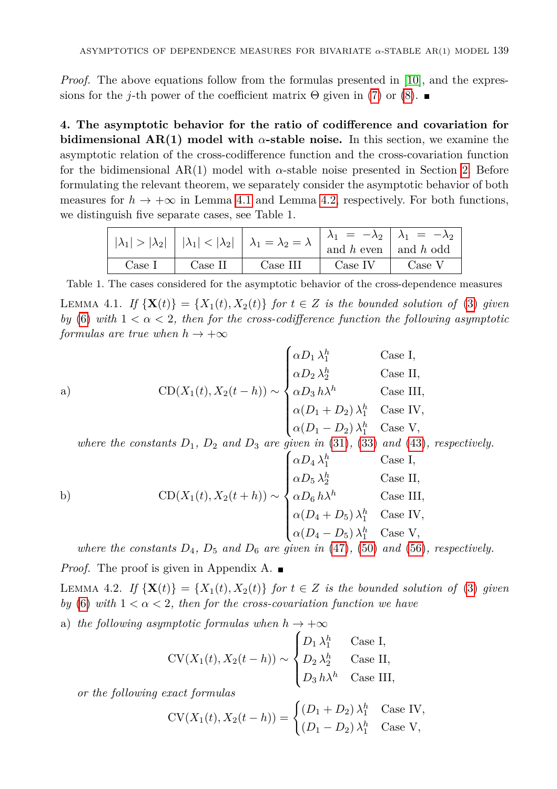*Proof.* The above equations follow from the formulas presented in [\[10\]](#page-22-8), and the expressions for the *j*-th power of the coefficient matrix  $\Theta$  given in [\(7\)](#page-3-5) or [\(8\)](#page-3-6).

<span id="page-6-0"></span>**4. The asymptotic behavior for the ratio of codifference and covariation for bidimensional AR(1) model with** *α***-stable noise.** In this section, we examine the asymptotic relation of the cross-codifference function and the cross-covariation function for the bidimensional  $AR(1)$  model with  $\alpha$ -stable noise presented in Section [2.](#page-1-0) Before formulating the relevant theorem, we separately consider the asymptotic behavior of both measures for  $h \to +\infty$  in Lemma [4.1](#page-6-1) and Lemma [4.2,](#page-6-2) respectively. For both functions, we distinguish five separate cases, see Table 1.

|  |        |         | $ \lambda_1  >  \lambda_2  \left   \lambda_1  <  \lambda_2  \right   \lambda_1 = \lambda_2 = \lambda \left  \frac{\lambda_1}{\text{and } h \text{ even}} \right  \frac{\lambda_1}{\text{and } h \text{ odd}}$ |         |        |
|--|--------|---------|---------------------------------------------------------------------------------------------------------------------------------------------------------------------------------------------------------------|---------|--------|
|  |        |         |                                                                                                                                                                                                               |         |        |
|  | Case 1 | Case II | Case III                                                                                                                                                                                                      | Case IV | Case V |

Table 1. The cases considered for the asymptotic behavior of the cross-dependence measures

<span id="page-6-1"></span>LEMMA 4.1. *If*  $\{X(t)\} = \{X_1(t), X_2(t)\}$  *for*  $t \in Z$  *is the bounded solution of* [\(3\)](#page-2-1) *given by* [\(6\)](#page-2-2) *with*  $1 < \alpha < 2$ , *then for the cross-codifference function the following asymptotic formulas are true when*  $h \to +\infty$ 

a)  
\n
$$
\text{CD}(X_1(t), X_2(t-h)) \sim\n\begin{cases}\n\alpha D_1 \lambda_1^h & \text{Case I}, \\
\alpha D_2 \lambda_2^h & \text{Case II}, \\
\alpha D_3 h \lambda^h & \text{Case III}, \\
\alpha (D_1 + D_2) \lambda_1^h & \text{Case IV}, \\
\alpha (D_1 - D_2) \lambda_1^h & \text{Case V},\n\end{cases}
$$

where the constants  $D_1$ ,  $D_2$  and  $D_3$  are given in [\(31\)](#page-12-0), [\(33\)](#page-12-1) and [\(43\)](#page-15-0), respectively.

b) 
$$
\text{CD}(X_1(t), X_2(t+h)) \sim \begin{cases} \alpha D_4 \lambda_1^h & \text{Case I,} \\ \alpha D_5 \lambda_2^h & \text{Case II,} \\ \alpha D_6 h \lambda^h & \text{Case III,} \\ \alpha (D_4 + D_5) \lambda_1^h & \text{Case IV,} \\ \alpha (D_4 - D_5) \lambda_1^h & \text{Case V,} \end{cases}
$$

*where the constants*  $D_4$ *,*  $D_5$  *and*  $D_6$  *are given in* [\(47\)](#page-16-0)*,* [\(50\)](#page-16-1) *and* [\(56\)](#page-17-0)*, respectively.* 

*Proof.* The proof is given in Appendix A. ■

<span id="page-6-2"></span>LEMMA 4.2. *If*  $\{X(t)\} = \{X_1(t), X_2(t)\}$  *for*  $t \in Z$  *is the bounded solution of* [\(3\)](#page-2-1) *given by* [\(6\)](#page-2-2) *with*  $1 < \alpha < 2$ , then for the cross-covariation function we have

a) *the following asymptotic formulas when*  $h \to +\infty$ 

$$
CV(X_1(t), X_2(t - h)) \sim \begin{cases} D_1 \lambda_1^h & \text{Case I,} \\ D_2 \lambda_2^h & \text{Case II,} \\ D_3 \, h\lambda^h & \text{Case III,} \end{cases}
$$

*or the following exact formulas*

$$
CV(X_1(t), X_2(t - h)) = \begin{cases} (D_1 + D_2) \lambda_1^h & \text{Case IV,} \\ (D_1 - D_2) \lambda_1^h & \text{Case V,} \end{cases}
$$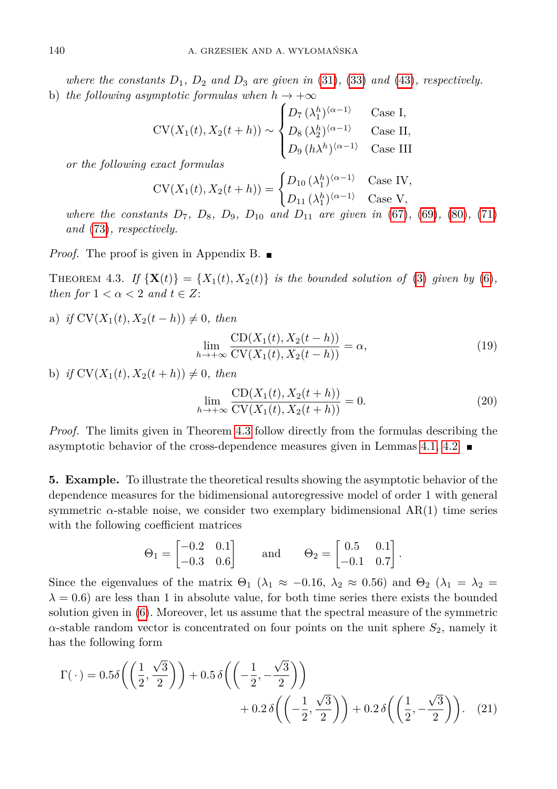*where the constants D*1*, D*<sup>2</sup> *and D*<sup>3</sup> *are given in* [\(31\)](#page-12-0)*,* [\(33\)](#page-12-1) *and* [\(43\)](#page-15-0)*, respectively.* b) *the following asymptotic formulas when*  $h \to +\infty$ 

$$
CV(X_1(t), X_2(t+h)) \sim \begin{cases} D_7(\lambda_1^h)^{\langle \alpha - 1 \rangle} & \text{Case I,} \\ D_8(\lambda_2^h)^{\langle \alpha - 1 \rangle} & \text{Case II,} \\ D_9(h\lambda^h)^{\langle \alpha - 1 \rangle} & \text{Case III} \end{cases}
$$

*or the following exact formulas*

$$
CV(X_1(t), X_2(t+h)) = \begin{cases} D_{10} (\lambda_1^h)^{\langle \alpha - 1 \rangle} & \text{Case IV,} \\ D_{11} (\lambda_1^h)^{\langle \alpha - 1 \rangle} & \text{Case V,} \end{cases}
$$

*where the constants*  $D_7$ ,  $D_8$ ,  $D_9$ ,  $D_{10}$  *and*  $D_{11}$  *are given in* [\(67\)](#page-19-0), [\(69\)](#page-20-0), [\(80\)](#page-22-10), [\(71\)](#page-20-1) *and* [\(73\)](#page-20-2)*, respectively.*

*Proof.* The proof is given in Appendix B. ■

<span id="page-7-1"></span>THEOREM 4.3. If  $\{X(t)\} = \{X_1(t), X_2(t)\}$  is the bounded solution of [\(3\)](#page-2-1) given by [\(6\)](#page-2-2), *then for*  $1 < \alpha < 2$  *and*  $t \in Z$ :

a) *if*  $CV(X_1(t), X_2(t - h)) \neq 0$ *, then* 

$$
\lim_{h \to +\infty} \frac{\text{CD}(X_1(t), X_2(t-h))}{\text{CV}(X_1(t), X_2(t-h))} = \alpha,
$$
\n(19)

b) *if*  $CV(X_1(t), X_2(t + h)) \neq 0$ *, then* 

$$
\lim_{h \to +\infty} \frac{\text{CD}(X_1(t), X_2(t+h))}{\text{CV}(X_1(t), X_2(t+h))} = 0.
$$
\n(20)

*Proof.* The limits given in Theorem [4.3](#page-7-1) follow directly from the formulas describing the asymptotic behavior of the cross-dependence measures given in Lemmas [4.1,](#page-6-1) [4.2.](#page-6-2)

<span id="page-7-0"></span>**5. Example.** To illustrate the theoretical results showing the asymptotic behavior of the dependence measures for the bidimensional autoregressive model of order 1 with general symmetric  $\alpha$ -stable noise, we consider two exemplary bidimensional AR(1) time series with the following coefficient matrices

<span id="page-7-2"></span>
$$
\Theta_1 = \begin{bmatrix} -0.2 & 0.1 \\ -0.3 & 0.6 \end{bmatrix}
$$
 and  $\Theta_2 = \begin{bmatrix} 0.5 & 0.1 \\ -0.1 & 0.7 \end{bmatrix}$ .

Since the eigenvalues of the matrix  $\Theta_1$  ( $\lambda_1 \approx -0.16$ ,  $\lambda_2 \approx 0.56$ ) and  $\Theta_2$  ( $\lambda_1 = \lambda_2 =$  $\lambda = 0.6$ ) are less than 1 in absolute value, for both time series there exists the bounded solution given in [\(6\)](#page-2-2). Moreover, let us assume that the spectral measure of the symmetric  $\alpha$ -stable random vector is concentrated on four points on the unit sphere  $S_2$ , namely it has the following form

<span id="page-7-3"></span>
$$
\Gamma(\cdot) = 0.5\delta\left(\left(\frac{1}{2}, \frac{\sqrt{3}}{2}\right)\right) + 0.5\delta\left(\left(-\frac{1}{2}, -\frac{\sqrt{3}}{2}\right)\right) + 0.2\delta\left(\left(-\frac{1}{2}, \frac{\sqrt{3}}{2}\right)\right) + 0.2\delta\left(\left(\frac{1}{2}, -\frac{\sqrt{3}}{2}\right)\right). (21)
$$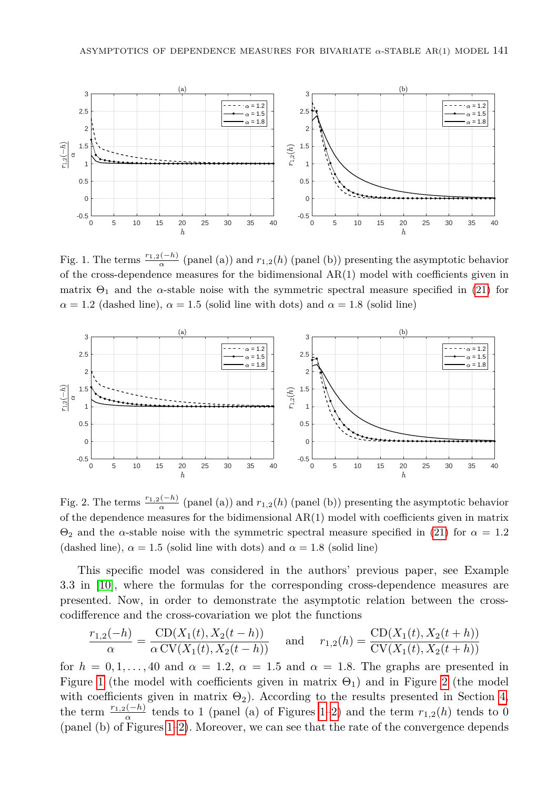

Fig. 1. The terms  $\frac{r_{1,2}(-h)}{\alpha}$  (panel (a)) and  $r_{1,2}(h)$  (panel (b)) presenting the asymptotic behavior of the cross-dependence measures for the bidimensional  $AR(1)$  model with coefficients given in matrix  $\Theta_1$  and the *α*-stable noise with the symmetric spectral measure specified in [\(21\)](#page-7-2) for  $\alpha = 1.2$  (dashed line),  $\alpha = 1.5$  (solid line with dots) and  $\alpha = 1.8$  (solid line)

<span id="page-8-0"></span>

Fig. 2. The terms  $\frac{r_{1,2}(-h)}{\alpha}$  (panel (a)) and  $r_{1,2}(h)$  (panel (b)) presenting the asymptotic behavior of the dependence measures for the bidimensional  $AR(1)$  model with coefficients given in matrix Θ<sup>2</sup> and the *α*-stable noise with the symmetric spectral measure specified in [\(21\)](#page-7-2) for *α* = 1*.*2 (dashed line),  $\alpha = 1.5$  (solid line with dots) and  $\alpha = 1.8$  (solid line)

This specific model was considered in the authors' previous paper, see Example 3.3 in [\[10\]](#page-22-8), where the formulas for the corresponding cross-dependence measures are presented. Now, in order to demonstrate the asymptotic relation between the crosscodifference and the cross-covariation we plot the functions

$$
\frac{r_{1,2}(-h)}{\alpha} = \frac{CD(X_1(t), X_2(t-h))}{\alpha CV(X_1(t), X_2(t-h))}
$$
 and  $r_{1,2}(h) = \frac{CD(X_1(t), X_2(t+h))}{CV(X_1(t), X_2(t+h))}$ 

for  $h = 0, 1, \ldots, 40$  and  $\alpha = 1.2, \alpha = 1.5$  and  $\alpha = 1.8$ . The graphs are presented in Figure [1](#page-7-3) (the model with coefficients given in matrix  $\Theta_1$ ) and in Figure [2](#page-8-0) (the model with coefficients given in matrix  $\Theta_2$ ). According to the results presented in Section [4,](#page-6-0) the term  $\frac{r_{1,2}(-h)}{\alpha}$  tends to [1](#page-7-3) (panel (a) of Figures 1[–2\)](#page-8-0) and the term  $r_{1,2}(h)$  tends to 0 (panel (b) of Figures [1–](#page-7-3)[2\)](#page-8-0). Moreover, we can see that the rate of the convergence depends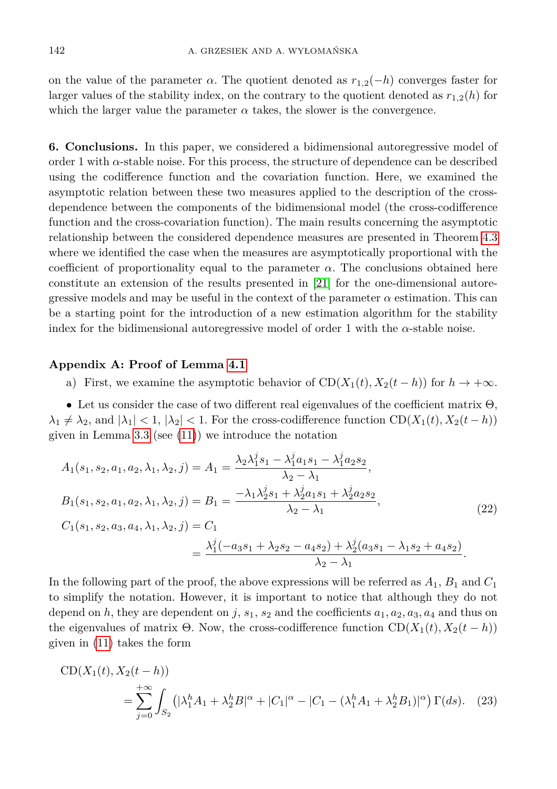on the value of the parameter  $\alpha$ . The quotient denoted as  $r_{1,2}(-h)$  converges faster for larger values of the stability index, on the contrary to the quotient denoted as  $r_{1,2}(h)$  for which the larger value the parameter  $\alpha$  takes, the slower is the convergence.

<span id="page-9-0"></span>**6. Conclusions.** In this paper, we considered a bidimensional autoregressive model of order 1 with *α*-stable noise. For this process, the structure of dependence can be described using the codifference function and the covariation function. Here, we examined the asymptotic relation between these two measures applied to the description of the crossdependence between the components of the bidimensional model (the cross-codifference function and the cross-covariation function). The main results concerning the asymptotic relationship between the considered dependence measures are presented in Theorem [4.3](#page-7-1) where we identified the case when the measures are asymptotically proportional with the coefficient of proportionality equal to the parameter  $\alpha$ . The conclusions obtained here constitute an extension of the results presented in [\[21\]](#page-23-18) for the one-dimensional autoregressive models and may be useful in the context of the parameter  $\alpha$  estimation. This can be a starting point for the introduction of a new estimation algorithm for the stability index for the bidimensional autoregressive model of order 1 with the *α*-stable noise.

## **Appendix A: Proof of Lemma [4.1](#page-6-1)**

<span id="page-9-1"></span>a) First, we examine the asymptotic behavior of  $CD(X_1(t), X_2(t - h))$  for  $h \to +\infty$ .

• Let us consider the case of two different real eigenvalues of the coefficient matrix  $\Theta$ ,  $\lambda_1 \neq \lambda_2$ , and  $|\lambda_1| < 1$ ,  $|\lambda_2| < 1$ . For the cross-codifference function CD( $X_1(t), X_2(t - h)$ ) given in Lemma [3.3](#page-4-0) (see  $(11)$ ) we introduce the notation

$$
A_1(s_1, s_2, a_1, a_2, \lambda_1, \lambda_2, j) = A_1 = \frac{\lambda_2 \lambda_1^j s_1 - \lambda_1^j a_1 s_1 - \lambda_1^j a_2 s_2}{\lambda_2 - \lambda_1},
$$
  
\n
$$
B_1(s_1, s_2, a_1, a_2, \lambda_1, \lambda_2, j) = B_1 = \frac{-\lambda_1 \lambda_2^j s_1 + \lambda_2^j a_1 s_1 + \lambda_2^j a_2 s_2}{\lambda_2 - \lambda_1},
$$
  
\n
$$
C_1(s_1, s_2, a_3, a_4, \lambda_1, \lambda_2, j) = C_1
$$
  
\n
$$
= \frac{\lambda_1^j (-a_3 s_1 + \lambda_2 s_2 - a_4 s_2) + \lambda_2^j (a_3 s_1 - \lambda_1 s_2 + a_4 s_2)}{\lambda_2 - \lambda_1}.
$$
  
\n(22)

In the following part of the proof, the above expressions will be referred as *A*1, *B*<sup>1</sup> and *C*<sup>1</sup> to simplify the notation. However, it is important to notice that although they do not depend on *h*, they are dependent on *j*,  $s_1$ ,  $s_2$  and the coefficients  $a_1$ ,  $a_2$ ,  $a_3$ ,  $a_4$  and thus on the eigenvalues of matrix  $\Theta$ . Now, the cross-codifference function  $CD(X_1(t), X_2(t - h))$ given in [\(11\)](#page-4-1) takes the form

$$
CD(X_1(t), X_2(t - h))
$$
  
= 
$$
\sum_{j=0}^{+\infty} \int_{S_2} (|\lambda_1^h A_1 + \lambda_2^h B|^\alpha + |C_1|^\alpha - |C_1 - (\lambda_1^h A_1 + \lambda_2^h B_1)|^\alpha) \Gamma(ds).
$$
 (23)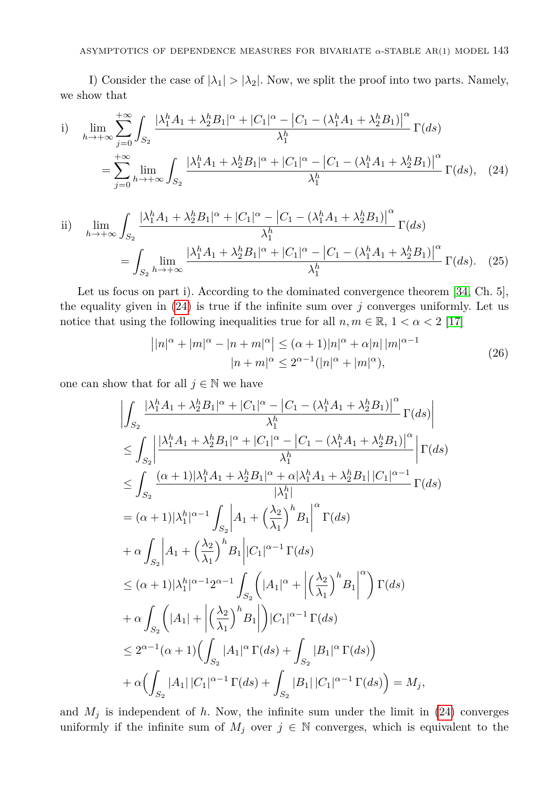I) Consider the case of  $|\lambda_1| > |\lambda_2|$ . Now, we split the proof into two parts. Namely, we show that

i) 
$$
\lim_{h \to +\infty} \sum_{j=0}^{+\infty} \int_{S_2} \frac{|\lambda_1^h A_1 + \lambda_2^h B_1|^{\alpha} + |C_1|^{\alpha} - |C_1 - (\lambda_1^h A_1 + \lambda_2^h B_1)|^{\alpha}}{\lambda_1^h} \Gamma(ds)
$$
  

$$
= \sum_{j=0}^{+\infty} \lim_{h \to +\infty} \int_{S_2} \frac{|\lambda_1^h A_1 + \lambda_2^h B_1|^{\alpha} + |C_1|^{\alpha} - |C_1 - (\lambda_1^h A_1 + \lambda_2^h B_1)|^{\alpha}}{\lambda_1^h} \Gamma(ds), \quad (24)
$$

ii) 
$$
\lim_{h \to +\infty} \int_{S_2} \frac{|\lambda_1^h A_1 + \lambda_2^h B_1|^{\alpha} + |C_1|^{\alpha} - |C_1 - (\lambda_1^h A_1 + \lambda_2^h B_1)|^{\alpha}}{\lambda_1^h} \Gamma(ds)
$$
  
= 
$$
\int_{S_2} \lim_{h \to +\infty} \frac{|\lambda_1^h A_1 + \lambda_2^h B_1|^{\alpha} + |C_1|^{\alpha} - |C_1 - (\lambda_1^h A_1 + \lambda_2^h B_1)|^{\alpha}}{\lambda_1^h} \Gamma(ds). (25)
$$

Let us focus on part i). According to the dominated convergence theorem [\[34,](#page-24-7) Ch. 5], the equality given in [\(24\)](#page-10-0) is true if the infinite sum over *j* converges uniformly. Let us notice that using the following inequalities true for all  $n, m \in \mathbb{R}, 1 < \alpha < 2$  [\[17\]](#page-23-20)

<span id="page-10-2"></span><span id="page-10-1"></span><span id="page-10-0"></span>
$$
||n|^{\alpha} + |m|^{\alpha} - |n + m|^{\alpha}| \le (\alpha + 1)|n|^{\alpha} + \alpha |n| |m|^{\alpha - 1}
$$
  

$$
|n + m|^{\alpha} \le 2^{\alpha - 1} (|n|^{\alpha} + |m|^{\alpha}),
$$
 (26)

one can show that for all  $j \in \mathbb{N}$  we have

$$
\left| \int_{S_2} \frac{|\lambda_1^h A_1 + \lambda_2^h B_1|^{\alpha} + |C_1|^{\alpha} - |C_1 - (\lambda_1^h A_1 + \lambda_2^h B_1)|^{\alpha}}{\lambda_1^h} \Gamma(ds) \right|
$$
  
\n
$$
\leq \int_{S_2} \left| \frac{|\lambda_1^h A_1 + \lambda_2^h B_1|^{\alpha} + |C_1|^{\alpha} - |C_1 - (\lambda_1^h A_1 + \lambda_2^h B_1)|^{\alpha}}{\lambda_1^h} \right| \Gamma(ds)
$$
  
\n
$$
\leq \int_{S_2} \frac{(\alpha + 1)|\lambda_1^h A_1 + \lambda_2^h B_1|^{\alpha} + \alpha |\lambda_1^h A_1 + \lambda_2^h B_1| |C_1|^{\alpha - 1}}{|\lambda_1^h|} \Gamma(ds)
$$
  
\n
$$
= (\alpha + 1)|\lambda_1^h|^{\alpha - 1} \int_{S_2} \left| A_1 + \left( \frac{\lambda_2}{\lambda_1} \right)^h B_1 \right|^{\alpha} \Gamma(ds)
$$
  
\n
$$
+ \alpha \int_{S_2} \left| A_1 + \left( \frac{\lambda_2}{\lambda_1} \right)^h B_1 \left| C_1 \right|^{\alpha - 1} \Gamma(ds)
$$
  
\n
$$
\leq (\alpha + 1)|\lambda_1^h|^{\alpha - 1} 2^{\alpha - 1} \int_{S_2} \left( |A_1|^\alpha + \left| \left( \frac{\lambda_2}{\lambda_1} \right)^h B_1 \right|^\alpha \right) \Gamma(ds)
$$
  
\n
$$
+ \alpha \int_{S_2} \left( |A_1| + \left| \left( \frac{\lambda_2}{\lambda_1} \right)^h B_1 \right| \right) |C_1|^{\alpha - 1} \Gamma(ds)
$$
  
\n
$$
\leq 2^{\alpha - 1} (\alpha + 1) \left( \int_{S_2} |A_1|^\alpha \Gamma(ds) + \int_{S_2} |B_1|^\alpha \Gamma(ds) \right)
$$
  
\n
$$
+ \alpha \left( \int_{S_2} |A_1| |C_1|^{\alpha - 1} \Gamma(ds) + \int_{S_2} |B_1| |C_1|^{\alpha - 1} \Gamma(ds) \right) = M_j,
$$

and  $M_j$  is independent of h. Now, the infinite sum under the limit in  $(24)$  converges uniformly if the infinite sum of  $M_j$  over  $j \in \mathbb{N}$  converges, which is equivalent to the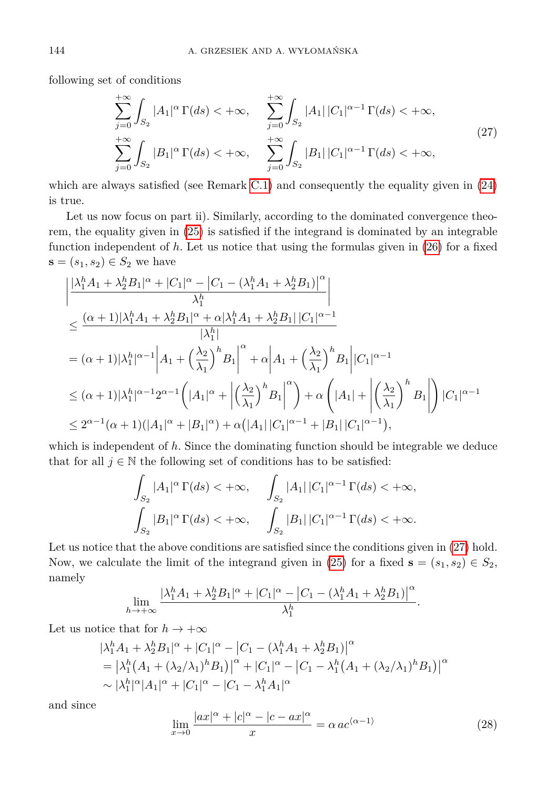following set of conditions

<span id="page-11-0"></span>
$$
\sum_{j=0}^{+\infty} \int_{S_2} |A_1|^{\alpha} \Gamma(ds) < +\infty, \quad \sum_{j=0}^{+\infty} \int_{S_2} |A_1| |C_1|^{\alpha-1} \Gamma(ds) < +\infty,
$$
  
\n
$$
\sum_{j=0}^{+\infty} \int_{S_2} |B_1|^{\alpha} \Gamma(ds) < +\infty, \quad \sum_{j=0}^{+\infty} \int_{S_2} |B_1| |C_1|^{\alpha-1} \Gamma(ds) < +\infty,
$$
\n(27)

which are always satisfied (see Remark [C.1\)](#page-22-11) and consequently the equality given in [\(24\)](#page-10-0) is true.

Let us now focus on part ii). Similarly, according to the dominated convergence theorem, the equality given in [\(25\)](#page-10-1) is satisfied if the integrand is dominated by an integrable function independent of *h*. Let us notice that using the formulas given in [\(26\)](#page-10-2) for a fixed **s** =  $(s_1, s_2)$  ∈  $S_2$  we have

$$
\begin{split} &\left|\frac{|\lambda_{1}^{h} A_{1}+\lambda_{2}^{h} B_{1}|^{\alpha}+|C_{1}|^{\alpha}-\left|C_{1}-(\lambda_{1}^{h} A_{1}+\lambda_{2}^{h} B_{1})\right|^{\alpha}}{\lambda_{1}^{h}}\right|\\ &\leq \frac{(\alpha+1)|\lambda_{1}^{h} A_{1}+\lambda_{2}^{h} B_{1}|^{\alpha}+\alpha|\lambda_{1}^{h} A_{1}+\lambda_{2}^{h} B_{1}|\,|C_{1}|^{\alpha-1}}{|\lambda_{1}^{h}|}\\ &= (\alpha+1)|\lambda_{1}^{h}|^{\alpha-1}\left|A_{1}+\left(\frac{\lambda_{2}}{\lambda_{1}}\right)^{h} B_{1}\right|^{\alpha}+\alpha\left|A_{1}+\left(\frac{\lambda_{2}}{\lambda_{1}}\right)^{h} B_{1}\right| |C_{1}|^{\alpha-1}\\ &\leq (\alpha+1)|\lambda_{1}^{h}|^{\alpha-1}2^{\alpha-1}\left(|A_{1}|^{\alpha}+\left|\left(\frac{\lambda_{2}}{\lambda_{1}}\right)^{h} B_{1}\right|^{\alpha}\right)+\alpha\left(|A_{1}|+\left|\left(\frac{\lambda_{2}}{\lambda_{1}}\right)^{h} B_{1}\right|\right)|C_{1}|^{\alpha-1}\\ &\leq 2^{\alpha-1}(\alpha+1)(|A_{1}|^{\alpha}+|B_{1}|^{\alpha})+\alpha(|A_{1}|\,|C_{1}|^{\alpha-1}+|B_{1}|\,|C_{1}|^{\alpha-1}), \end{split}
$$

which is independent of h. Since the dominating function should be integrable we deduce that for all  $j \in \mathbb{N}$  the following set of conditions has to be satisfied:

$$
\int_{S_2} |A_1|^{\alpha} \Gamma(ds) < +\infty, \quad \int_{S_2} |A_1| \, |C_1|^{\alpha-1} \Gamma(ds) < +\infty, \n\int_{S_2} |B_1|^{\alpha} \Gamma(ds) < +\infty, \quad \int_{S_2} |B_1| \, |C_1|^{\alpha-1} \Gamma(ds) < +\infty.
$$

Let us notice that the above conditions are satisfied since the conditions given in  $(27)$  hold. Now, we calculate the limit of the integrand given in [\(25\)](#page-10-1) for a fixed  $\mathbf{s} = (s_1, s_2) \in S_2$ , namely

$$
\lim_{h\to+\infty}\frac{|\lambda_1^h A_1 + \lambda_2^h B_1|^{\alpha} + |C_1|^{\alpha} - |C_1 - (\lambda_1^h A_1 + \lambda_2^h B_1)|^{\alpha}}{\lambda_1^h}.
$$

Let us notice that for  $h \to +\infty$ 

$$
\begin{aligned} & |\lambda_1^h A_1 + \lambda_2^h B_1|^{\alpha} + |C_1|^{\alpha} - |C_1 - (\lambda_1^h A_1 + \lambda_2^h B_1)|^{\alpha} \\ &= |\lambda_1^h (A_1 + (\lambda_2/\lambda_1)^h B_1)|^{\alpha} + |C_1|^{\alpha} - |C_1 - \lambda_1^h (A_1 + (\lambda_2/\lambda_1)^h B_1)|^{\alpha} \\ &\sim |\lambda_1^h|^{\alpha} |A_1|^{\alpha} + |C_1|^{\alpha} - |C_1 - \lambda_1^h A_1|^{\alpha} \end{aligned}
$$

<span id="page-11-1"></span>and since

$$
\lim_{x \to 0} \frac{|ax|^{\alpha} + |c|^{\alpha} - |c - ax|^{\alpha}}{x} = \alpha \, ac^{\langle \alpha - 1 \rangle} \tag{28}
$$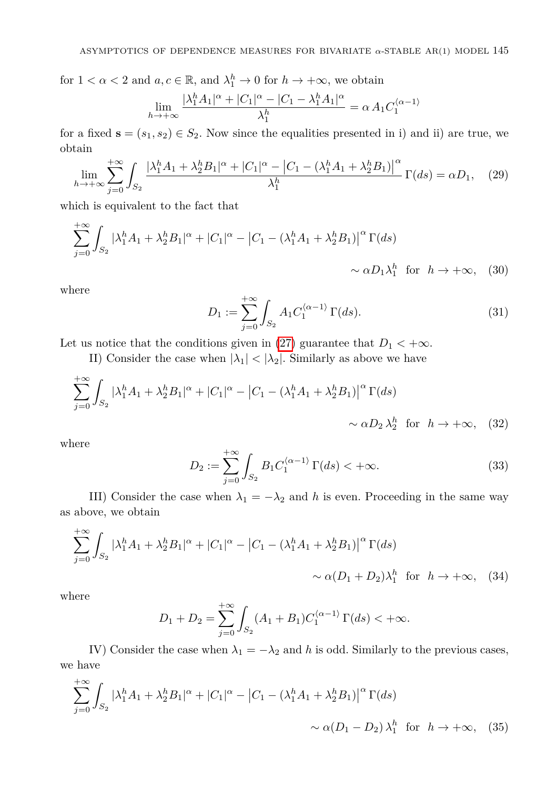for  $1 < \alpha < 2$  and  $a, c \in \mathbb{R}$ , and  $\lambda_1^h \to 0$  for  $h \to +\infty$ , we obtain

$$
\lim_{h \to +\infty} \frac{|\lambda_1^h A_1|^{\alpha} + |C_1|^{\alpha} - |C_1 - \lambda_1^h A_1|^{\alpha}}{\lambda_1^h} = \alpha A_1 C_1^{(\alpha - 1)}
$$

for a fixed  $\mathbf{s} = (s_1, s_2) \in S_2$ . Now since the equalities presented in i) and ii) are true, we obtain

$$
\lim_{h \to +\infty} \sum_{j=0}^{+\infty} \int_{S_2} \frac{|\lambda_1^h A_1 + \lambda_2^h B_1|^{\alpha} + |C_1|^{\alpha} - |C_1 - (\lambda_1^h A_1 + \lambda_2^h B_1)|^{\alpha}}{\lambda_1^h} \Gamma(ds) = \alpha D_1, \quad (29)
$$

which is equivalent to the fact that

$$
\sum_{j=0}^{+\infty} \int_{S_2} |\lambda_1^h A_1 + \lambda_2^h B_1|^{\alpha} + |C_1|^{\alpha} - |C_1 - (\lambda_1^h A_1 + \lambda_2^h B_1)|^{\alpha} \Gamma(ds)
$$
  
  $\sim \alpha D_1 \lambda_1^h \text{ for } h \to +\infty,$  (30)

<span id="page-12-0"></span>where

+∞

$$
D_1 := \sum_{j=0}^{+\infty} \int_{S_2} A_1 C_1^{\langle \alpha - 1 \rangle} \Gamma(ds). \tag{31}
$$

Let us notice that the conditions given in [\(27\)](#page-11-0) guarantee that  $D_1 < +\infty$ .

II) Consider the case when  $|\lambda_1| < |\lambda_2|$ . Similarly as above we have

$$
\sum_{j=0}^{+\infty} \int_{S_2} |\lambda_1^h A_1 + \lambda_2^h B_1|^{\alpha} + |C_1|^{\alpha} - |C_1 - (\lambda_1^h A_1 + \lambda_2^h B_1)|^{\alpha} \Gamma(ds)
$$
  
  $\sim \alpha D_2 \lambda_2^h$  for  $h \to +\infty$ , (32)

<span id="page-12-1"></span>where

$$
D_2 := \sum_{j=0}^{+\infty} \int_{S_2} B_1 C_1^{\langle \alpha - 1 \rangle} \Gamma(ds) < +\infty.
$$
 (33)

III) Consider the case when  $\lambda_1 = -\lambda_2$  and *h* is even. Proceeding in the same way as above, we obtain

$$
\sum_{j=0}^{+\infty} \int_{S_2} |\lambda_1^h A_1 + \lambda_2^h B_1|^{\alpha} + |C_1|^{\alpha} - |C_1 - (\lambda_1^h A_1 + \lambda_2^h B_1)|^{\alpha} \Gamma(ds)
$$
  
 
$$
\sim \alpha (D_1 + D_2) \lambda_1^h \text{ for } h \to +\infty, \quad (34)
$$

where

 $\mathbf{+}$ 

$$
D_1 + D_2 = \sum_{j=0}^{+\infty} \int_{S_2} (A_1 + B_1) C_1^{\langle \alpha - 1 \rangle} \Gamma(ds) < +\infty.
$$

IV) Consider the case when  $\lambda_1 = -\lambda_2$  and *h* is odd. Similarly to the previous cases, we have

$$
\sum_{j=0}^{+\infty} \int_{S_2} |\lambda_1^h A_1 + \lambda_2^h B_1|^\alpha + |C_1|^\alpha - \left|C_1 - (\lambda_1^h A_1 + \lambda_2^h B_1)\right|^\alpha \Gamma(ds)
$$
  
 
$$
\sim \alpha(D_1 - D_2) \lambda_1^h \text{ for } h \to +\infty, \quad (35)
$$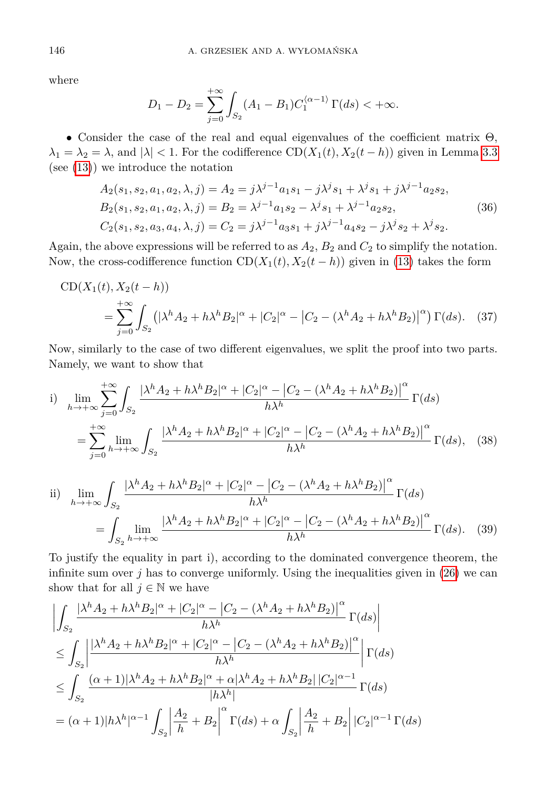where

<span id="page-13-2"></span>
$$
D_1 - D_2 = \sum_{j=0}^{+\infty} \int_{S_2} (A_1 - B_1) C_1^{\langle \alpha - 1 \rangle} \Gamma(ds) < +\infty.
$$

• Consider the case of the real and equal eigenvalues of the coefficient matrix Θ,  $\lambda_1 = \lambda_2 = \lambda$ , and  $|\lambda| < 1$ . For the codifference  $CD(X_1(t), X_2(t - h))$  given in Lemma [3.3](#page-4-0) (see [\(13\)](#page-4-2)) we introduce the notation

$$
A_2(s_1, s_2, a_1, a_2, \lambda, j) = A_2 = j\lambda^{j-1}a_1s_1 - j\lambda^j s_1 + \lambda^j s_1 + j\lambda^{j-1}a_2s_2,
$$
  
\n
$$
B_2(s_1, s_2, a_1, a_2, \lambda, j) = B_2 = \lambda^{j-1}a_1s_2 - \lambda^j s_1 + \lambda^{j-1}a_2s_2,
$$
  
\n
$$
C_2(s_1, s_2, a_3, a_4, \lambda, j) = C_2 = j\lambda^{j-1}a_3s_1 + j\lambda^{j-1}a_4s_2 - j\lambda^j s_2 + \lambda^j s_2.
$$
\n(36)

Again, the above expressions will be referred to as  $A_2$ ,  $B_2$  and  $C_2$  to simplify the notation. Now, the cross-codifference function  $CD(X_1(t), X_2(t - h))$  given in [\(13\)](#page-4-2) takes the form

$$
CD(X_1(t), X_2(t - h))
$$
  
=  $\sum_{j=0}^{+\infty} \int_{S_2} (|\lambda^h A_2 + h \lambda^h B_2|^\alpha + |C_2|^\alpha - |C_2 - (\lambda^h A_2 + h \lambda^h B_2)|^\alpha) \Gamma(ds).$  (37)

Now, similarly to the case of two different eigenvalues, we split the proof into two parts. Namely, we want to show that

<span id="page-13-0"></span>i) 
$$
\lim_{h \to +\infty} \sum_{j=0}^{+\infty} \int_{S_2} \frac{|\lambda^h A_2 + h \lambda^h B_2|^{\alpha} + |C_2|^{\alpha} - |C_2 - (\lambda^h A_2 + h \lambda^h B_2)|^{\alpha}}{h \lambda^h} \Gamma(ds)
$$
  
= 
$$
\sum_{j=0}^{+\infty} \lim_{h \to +\infty} \int_{S_2} \frac{|\lambda^h A_2 + h \lambda^h B_2|^{\alpha} + |C_2|^{\alpha} - |C_2 - (\lambda^h A_2 + h \lambda^h B_2)|^{\alpha}}{h \lambda^h} \Gamma(ds), \quad (38)
$$

<span id="page-13-1"></span>ii) 
$$
\lim_{h \to +\infty} \int_{S_2} \frac{|\lambda^h A_2 + h \lambda^h B_2|^{\alpha} + |C_2|^{\alpha} - |C_2 - (\lambda^h A_2 + h \lambda^h B_2)|^{\alpha}}{h \lambda^h} \Gamma(ds)
$$
  
= 
$$
\int_{S_2} \lim_{h \to +\infty} \frac{|\lambda^h A_2 + h \lambda^h B_2|^{\alpha} + |C_2|^{\alpha} - |C_2 - (\lambda^h A_2 + h \lambda^h B_2)|^{\alpha}}{h \lambda^h} \Gamma(ds). \quad (39)
$$

To justify the equality in part i), according to the dominated convergence theorem, the infinite sum over *j* has to converge uniformly. Using the inequalities given in [\(26\)](#page-10-2) we can show that for all  $j \in \mathbb{N}$  we have

$$
\left| \int_{S_2} \frac{|\lambda^h A_2 + h \lambda^h B_2|^{\alpha} + |C_2|^{\alpha} - |C_2 - (\lambda^h A_2 + h \lambda^h B_2)|^{\alpha}}{h \lambda^h} \Gamma(ds) \right|
$$
  
\n
$$
\leq \int_{S_2} \frac{|\lambda^h A_2 + h \lambda^h B_2|^{\alpha} + |C_2|^{\alpha} - |C_2 - (\lambda^h A_2 + h \lambda^h B_2)|^{\alpha}}{h \lambda^h} \left| \Gamma(ds) \right|
$$
  
\n
$$
\leq \int_{S_2} \frac{(\alpha + 1)|\lambda^h A_2 + h \lambda^h B_2|^{\alpha} + \alpha |\lambda^h A_2 + h \lambda^h B_2| |C_2|^{\alpha - 1}}{|h \lambda^h|} \Gamma(ds)
$$
  
\n
$$
= (\alpha + 1)|h \lambda^h|^{\alpha - 1} \int_{S_2} \left| \frac{A_2}{h} + B_2 \right|^{\alpha} \Gamma(ds) + \alpha \int_{S_2} \left| \frac{A_2}{h} + B_2 \right| |C_2|^{\alpha - 1} \Gamma(ds)
$$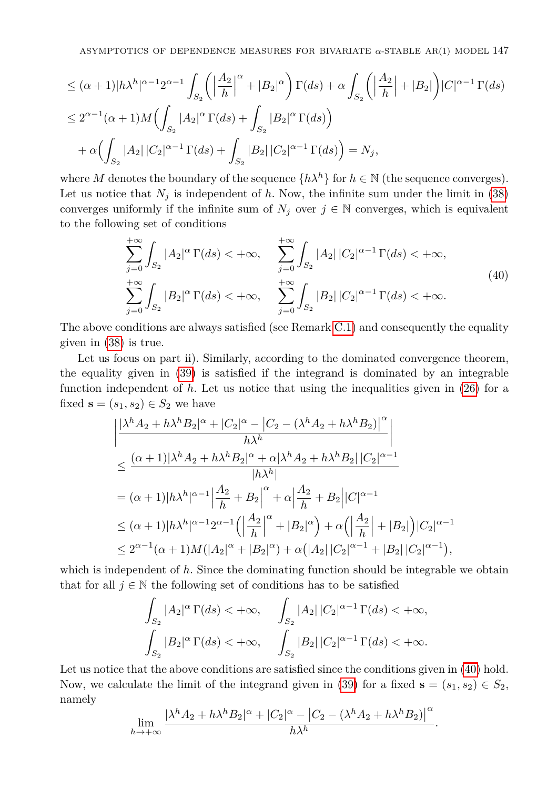$$
\leq (\alpha + 1)|h\lambda^{h}|^{\alpha - 1}2^{\alpha - 1} \int_{S_2} \left( \left| \frac{A_2}{h} \right|^\alpha + |B_2|^\alpha \right) \Gamma(ds) + \alpha \int_{S_2} \left( \left| \frac{A_2}{h} \right| + |B_2| \right) |C|^{\alpha - 1} \Gamma(ds)
$$
  

$$
\leq 2^{\alpha - 1} (\alpha + 1) M \Big( \int_{S_2} |A_2|^\alpha \Gamma(ds) + \int_{S_2} |B_2|^\alpha \Gamma(ds) \Big)
$$
  

$$
+ \alpha \Big( \int_{S_2} |A_2| |C_2|^{\alpha - 1} \Gamma(ds) + \int_{S_2} |B_2| |C_2|^{\alpha - 1} \Gamma(ds) \Big) = N_j,
$$

where *M* denotes the boundary of the sequence  $\{h\lambda^h\}$  for  $h \in \mathbb{N}$  (the sequence converges). Let us notice that  $N_j$  is independent of  $h$ . Now, the infinite sum under the limit in [\(38\)](#page-13-0) converges uniformly if the infinite sum of  $N_j$  over  $j \in \mathbb{N}$  converges, which is equivalent to the following set of conditions

<span id="page-14-0"></span>
$$
\sum_{j=0}^{+\infty} \int_{S_2} |A_2|^\alpha \Gamma(ds) < +\infty, \qquad \sum_{j=0}^{+\infty} \int_{S_2} |A_2| \, |C_2|^{\alpha-1} \, \Gamma(ds) < +\infty, \n\sum_{j=0}^{+\infty} \int_{S_2} |B_2|^\alpha \, \Gamma(ds) < +\infty, \qquad \sum_{j=0}^{+\infty} \int_{S_2} |B_2| \, |C_2|^{\alpha-1} \, \Gamma(ds) < +\infty.
$$
\n(40)

The above conditions are always satisfied (see Remark [C.1\)](#page-22-11) and consequently the equality given in [\(38\)](#page-13-0) is true.

Let us focus on part ii). Similarly, according to the dominated convergence theorem, the equality given in [\(39\)](#page-13-1) is satisfied if the integrand is dominated by an integrable function independent of  $h$ . Let us notice that using the inequalities given in  $(26)$  for a fixed  $\mathbf{s} = (s_1, s_2) \in S_2$  we have

$$
\begin{split} &\left|\frac{|\lambda^h A_2 + h \lambda^h B_2|^{\alpha} + |C_2|^{\alpha} - |C_2 - (\lambda^h A_2 + h \lambda^h B_2)|^{\alpha}}{h \lambda^h}\right| \\ &\leq \frac{(\alpha + 1)|\lambda^h A_2 + h \lambda^h B_2|^{\alpha} + \alpha |\lambda^h A_2 + h \lambda^h B_2||C_2|^{\alpha - 1}}{|h \lambda^h|} \\ & = (\alpha + 1)|h \lambda^h|^{\alpha - 1} \Big| \frac{A_2}{h} + B_2\Big|^{\alpha} + \alpha \Big| \frac{A_2}{h} + B_2\Big||C|^{\alpha - 1} \\ & \leq (\alpha + 1)|h \lambda^h|^{\alpha - 1} 2^{\alpha - 1} \Big(\Big| \frac{A_2}{h}\Big|^{\alpha} + |B_2|^{\alpha}\Big) + \alpha \Big(\Big| \frac{A_2}{h}\Big| + |B_2|\Big)|C_2|^{\alpha - 1} \\ & \leq 2^{\alpha - 1} (\alpha + 1) M (|A_2|^{\alpha} + |B_2|^{\alpha}) + \alpha \big(|A_2||C_2|^{\alpha - 1} + |B_2||C_2|^{\alpha - 1}\Big), \end{split}
$$

which is independent of h. Since the dominating function should be integrable we obtain that for all  $j \in \mathbb{N}$  the following set of conditions has to be satisfied

$$
\int_{S_2} |A_2|^\alpha \Gamma(ds) < +\infty, \quad \int_{S_2} |A_2| |C_2|^{\alpha-1} \Gamma(ds) < +\infty,
$$
  

$$
\int_{S_2} |B_2|^\alpha \Gamma(ds) < +\infty, \quad \int_{S_2} |B_2| |C_2|^{\alpha-1} \Gamma(ds) < +\infty.
$$

Let us notice that the above conditions are satisfied since the conditions given in  $(40)$  hold. Now, we calculate the limit of the integrand given in [\(39\)](#page-13-1) for a fixed  $\mathbf{s} = (s_1, s_2) \in S_2$ , namely

$$
\lim_{h \to +\infty} \frac{|\lambda^h A_2 + h \lambda^h B_2|^{\alpha} + |C_2|^{\alpha} - |C_2 - (\lambda^h A_2 + h \lambda^h B_2)|^{\alpha}}{h \lambda^h}.
$$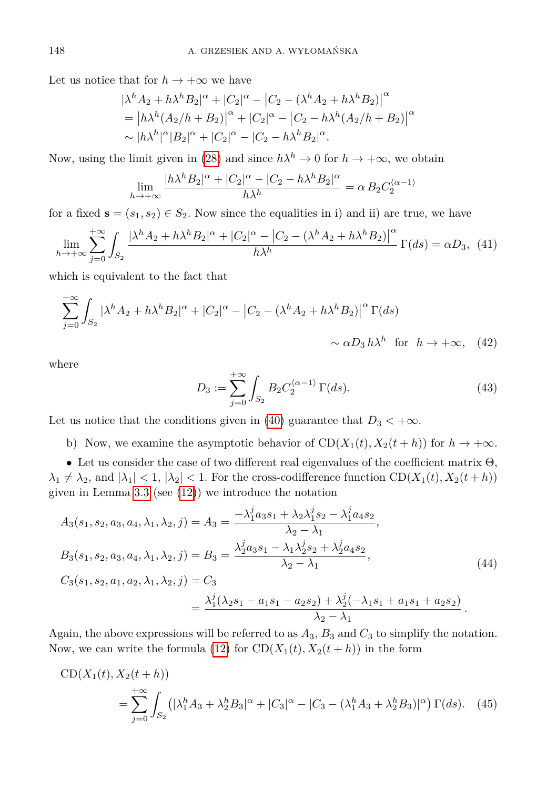Let us notice that for  $h \to +\infty$  we have

$$
|\lambda^h A_2 + h \lambda^h B_2|^{\alpha} + |C_2|^{\alpha} - |C_2 - (\lambda^h A_2 + h \lambda^h B_2)|^{\alpha}
$$
  
=  $|h \lambda^h (A_2/h + B_2)|^{\alpha} + |C_2|^{\alpha} - |C_2 - h \lambda^h (A_2/h + B_2)|^{\alpha}$   
 $\sim |h \lambda^h|^{\alpha} |B_2|^{\alpha} + |C_2|^{\alpha} - |C_2 - h \lambda^h B_2|^{\alpha}.$ 

Now, using the limit given in [\(28\)](#page-11-1) and since  $h\lambda^h \to 0$  for  $h \to +\infty$ , we obtain

$$
\lim_{h \to +\infty} \frac{|h\lambda^h B_2|^{\alpha} + |C_2|^{\alpha} - |C_2 - h\lambda^h B_2|^{\alpha}}{h\lambda^h} = \alpha B_2 C_2^{\langle \alpha - 1 \rangle}
$$

for a fixed  $\mathbf{s} = (s_1, s_2) \in S_2$ . Now since the equalities in i) and ii) are true, we have

$$
\lim_{h \to +\infty} \sum_{j=0}^{+\infty} \int_{S_2} \frac{|\lambda^h A_2 + h \lambda^h B_2|^{\alpha} + |C_2|^{\alpha} - |C_2 - (\lambda^h A_2 + h \lambda^h B_2)|^{\alpha}}{h \lambda^h} \Gamma(ds) = \alpha D_3, \tag{41}
$$

which is equivalent to the fact that

$$
\sum_{j=0}^{+\infty} \int_{S_2} |\lambda^h A_2 + h \lambda^h B_2|^{\alpha} + |C_2|^{\alpha} - |C_2 - (\lambda^h A_2 + h \lambda^h B_2)|^{\alpha} \Gamma(ds)
$$
  
  $\sim \alpha D_3 h \lambda^h \text{ for } h \to +\infty,$  (42)

<span id="page-15-0"></span>where

<span id="page-15-1"></span>
$$
D_3 := \sum_{j=0}^{+\infty} \int_{S_2} B_2 C_2^{\langle \alpha - 1 \rangle} \Gamma(ds). \tag{43}
$$

Let us notice that the conditions given in [\(40\)](#page-14-0) guarantee that  $D_3 < +\infty$ .

b) Now, we examine the asymptotic behavior of  $CD(X_1(t), X_2(t + h))$  for  $h \to +\infty$ .

• Let us consider the case of two different real eigenvalues of the coefficient matrix  $\Theta$ ,  $\lambda_1 \neq \lambda_2$ , and  $|\lambda_1| < 1$ ,  $|\lambda_2| < 1$ . For the cross-codifference function CD( $X_1(t), X_2(t + h)$ ) given in Lemma  $3.3$  (see  $(12)$ ) we introduce the notation

$$
A_3(s_1, s_2, a_3, a_4, \lambda_1, \lambda_2, j) = A_3 = \frac{-\lambda_1^j a_3 s_1 + \lambda_2 \lambda_1^j s_2 - \lambda_1^j a_4 s_2}{\lambda_2 - \lambda_1},
$$
  
\n
$$
B_3(s_1, s_2, a_3, a_4, \lambda_1, \lambda_2, j) = B_3 = \frac{\lambda_2^j a_3 s_1 - \lambda_1 \lambda_2^j s_2 + \lambda_2^j a_4 s_2}{\lambda_2 - \lambda_1},
$$
  
\n
$$
C_3(s_1, s_2, a_1, a_2, \lambda_1, \lambda_2, j) = C_3
$$
  
\n
$$
= \frac{\lambda_1^j (\lambda_2 s_1 - a_1 s_1 - a_2 s_2) + \lambda_2^j (-\lambda_1 s_1 + a_1 s_1 + a_2 s_2)}{\lambda_2 - \lambda_1}.
$$
  
\n(44)

Again, the above expressions will be referred to as  $A_3$ ,  $B_3$  and  $C_3$  to simplify the notation. Now, we can write the formula [\(12\)](#page-4-3) for  $CD(X_1(t), X_2(t + h))$  in the form

$$
CD(X_1(t), X_2(t+h))
$$
  
= 
$$
\sum_{j=0}^{+\infty} \int_{S_2} (|\lambda_1^h A_3 + \lambda_2^h B_3|^\alpha + |C_3|^\alpha - |C_3 - (\lambda_1^h A_3 + \lambda_2^h B_3)|^\alpha) \Gamma(ds).
$$
 (45)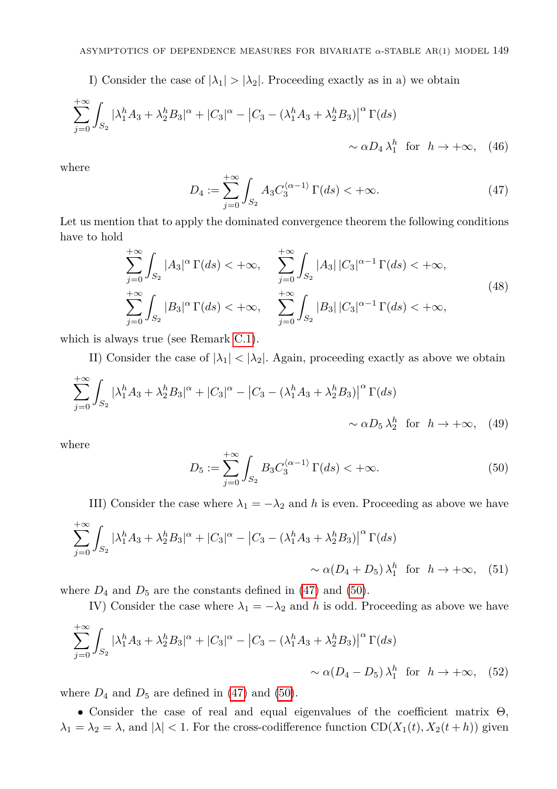I) Consider the case of  $|\lambda_1| > |\lambda_2|$ . Proceeding exactly as in a) we obtain

$$
\sum_{j=0}^{+\infty} \int_{S_2} |\lambda_1^h A_3 + \lambda_2^h B_3|^\alpha + |C_3|^\alpha - \left|C_3 - (\lambda_1^h A_3 + \lambda_2^h B_3)\right|^\alpha \Gamma(ds) \sim \alpha D_4 \lambda_1^h \text{ for } h \to +\infty, \quad (46)
$$

<span id="page-16-0"></span>where

$$
D_4 := \sum_{j=0}^{+\infty} \int_{S_2} A_3 C_3^{\langle \alpha - 1 \rangle} \Gamma(ds) < +\infty.
$$
 (47)

Let us mention that to apply the dominated convergence theorem the following conditions have to hold

<span id="page-16-2"></span>
$$
\sum_{j=0}^{+\infty} \int_{S_2} |A_3|^\alpha \Gamma(ds) < +\infty, \quad \sum_{j=0}^{+\infty} \int_{S_2} |A_3| \, |C_3|^{\alpha-1} \, \Gamma(ds) < +\infty, \n\sum_{j=0}^{+\infty} \int_{S_2} |B_3|^\alpha \, \Gamma(ds) < +\infty, \quad \sum_{j=0}^{+\infty} \int_{S_2} |B_3| \, |C_3|^{\alpha-1} \, \Gamma(ds) < +\infty,
$$
\n(48)

which is always true (see Remark [C.1\)](#page-22-11).

II) Consider the case of  $|\lambda_1| < |\lambda_2|$ . Again, proceeding exactly as above we obtain

$$
\sum_{j=0}^{+\infty} \int_{S_2} |\lambda_1^h A_3 + \lambda_2^h B_3|^\alpha + |C_3|^\alpha - \left|C_3 - (\lambda_1^h A_3 + \lambda_2^h B_3)\right|^\alpha \Gamma(ds) \sim \alpha D_5 \lambda_2^h \text{ for } h \to +\infty,
$$
 (49)

<span id="page-16-1"></span>where

$$
D_5 := \sum_{j=0}^{+\infty} \int_{S_2} B_3 C_3^{\langle \alpha - 1 \rangle} \Gamma(ds) < +\infty.
$$
 (50)

III) Consider the case where  $\lambda_1 = -\lambda_2$  and *h* is even. Proceeding as above we have

$$
\sum_{j=0}^{+\infty} \int_{S_2} |\lambda_1^h A_3 + \lambda_2^h B_3|^\alpha + |C_3|^\alpha - \left|C_3 - (\lambda_1^h A_3 + \lambda_2^h B_3)\right|^\alpha \Gamma(ds)
$$
  

$$
\sim \alpha (D_4 + D_5) \lambda_1^h \text{ for } h \to +\infty, \quad (51)
$$

where  $D_4$  and  $D_5$  are the constants defined in [\(47\)](#page-16-0) and [\(50\)](#page-16-1).

IV) Consider the case where  $\lambda_1 = -\lambda_2$  and *h* is odd. Proceeding as above we have

$$
\sum_{j=0}^{+\infty} \int_{S_2} |\lambda_1^h A_3 + \lambda_2^h B_3|^\alpha + |C_3|^\alpha - \left|C_3 - (\lambda_1^h A_3 + \lambda_2^h B_3)\right|^\alpha \Gamma(ds)
$$
  

$$
\sim \alpha (D_4 - D_5) \lambda_1^h \text{ for } h \to +\infty, \quad (52)
$$

where  $D_4$  and  $D_5$  are defined in [\(47\)](#page-16-0) and [\(50\)](#page-16-1).

• Consider the case of real and equal eigenvalues of the coefficient matrix Θ,  $\lambda_1 = \lambda_2 = \lambda$ , and  $|\lambda| < 1$ . For the cross-codifference function  $CD(X_1(t), X_2(t + h))$  given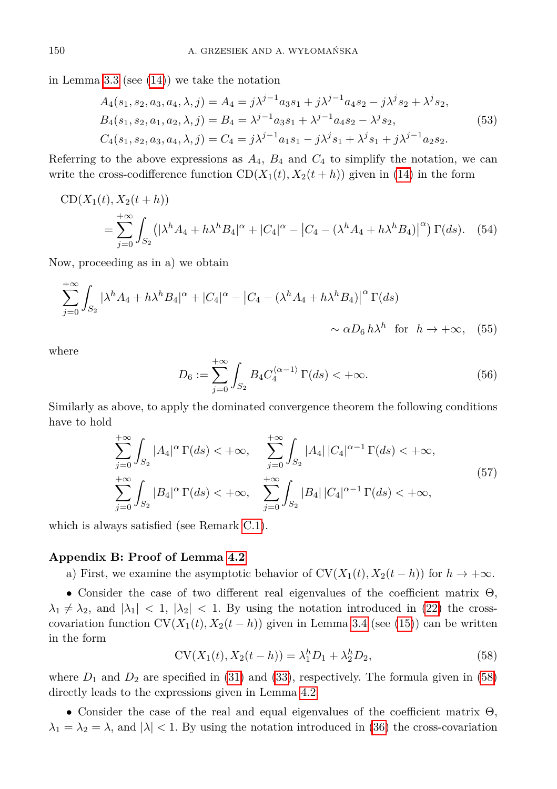in Lemma [3.3](#page-4-0) (see  $(14)$ ) we take the notation

<span id="page-17-2"></span>
$$
A_4(s_1, s_2, a_3, a_4, \lambda, j) = A_4 = j\lambda^{j-1}a_3s_1 + j\lambda^{j-1}a_4s_2 - j\lambda^j s_2 + \lambda^j s_2,
$$
  
\n
$$
B_4(s_1, s_2, a_1, a_2, \lambda, j) = B_4 = \lambda^{j-1}a_3s_1 + \lambda^{j-1}a_4s_2 - \lambda^j s_2,
$$
  
\n
$$
C_4(s_1, s_2, a_3, a_4, \lambda, j) = C_4 = j\lambda^{j-1}a_1s_1 - j\lambda^j s_1 + \lambda^j s_1 + j\lambda^{j-1}a_2s_2.
$$
\n
$$
(53)
$$

Referring to the above expressions as  $A_4$ ,  $B_4$  and  $C_4$  to simplify the notation, we can write the cross-codifference function  $CD(X_1(t), X_2(t + h))$  given in [\(14\)](#page-5-1) in the form

$$
CD(X_1(t), X_2(t + h))
$$
  
=  $\sum_{j=0}^{+\infty} \int_{S_2} (|\lambda^h A_4 + h \lambda^h B_4|^{\alpha} + |C_4|^{\alpha} - |C_4 - (\lambda^h A_4 + h \lambda^h B_4)|^{\alpha}) \Gamma(ds).$  (54)

Now, proceeding as in a) we obtain

$$
\sum_{j=0}^{+\infty} \int_{S_2} |\lambda^h A_4 + h \lambda^h B_4|^{\alpha} + |C_4|^{\alpha} - |C_4 - (\lambda^h A_4 + h \lambda^h B_4)|^{\alpha} \Gamma(ds)
$$
  

$$
\sim \alpha D_6 h \lambda^h \text{ for } h \to +\infty, \quad (55)
$$

<span id="page-17-0"></span>where

 $+ \infty$ 

$$
D_6 := \sum_{j=0}^{+\infty} \int_{S_2} B_4 C_4^{\langle \alpha - 1 \rangle} \Gamma(ds) < +\infty.
$$
 (56)

Similarly as above, to apply the dominated convergence theorem the following conditions have to hold

<span id="page-17-3"></span>
$$
\sum_{j=0}^{+\infty} \int_{S_2} |A_4|^\alpha \Gamma(ds) < +\infty, \quad \sum_{j=0}^{+\infty} \int_{S_2} |A_4| \, |C_4|^{\alpha-1} \Gamma(ds) < +\infty,
$$
  

$$
\sum_{j=0}^{+\infty} \int_{S_2} |B_4|^\alpha \Gamma(ds) < +\infty, \quad \sum_{j=0}^{+\infty} \int_{S_2} |B_4| \, |C_4|^{\alpha-1} \Gamma(ds) < +\infty,
$$
  
(57)

which is always satisfied (see Remark [C.1\)](#page-22-11).

#### **Appendix B: Proof of Lemma [4.2](#page-6-2)**

a) First, we examine the asymptotic behavior of  $CV(X_1(t), X_2(t - h))$  for  $h \to +\infty$ .

• Consider the case of two different real eigenvalues of the coefficient matrix Θ,  $\lambda_1 \neq \lambda_2$ , and  $|\lambda_1| < 1$ ,  $|\lambda_2| < 1$ . By using the notation introduced in [\(22\)](#page-9-1) the crosscovariation function  $CV(X_1(t), X_2(t - h))$  given in Lemma [3.4](#page-5-0) (see [\(15\)](#page-5-2)) can be written in the form

<span id="page-17-1"></span>
$$
CV(X_1(t), X_2(t - h)) = \lambda_1^h D_1 + \lambda_2^h D_2,
$$
\n(58)

where  $D_1$  and  $D_2$  are specified in [\(31\)](#page-12-0) and [\(33\)](#page-12-1), respectively. The formula given in [\(58\)](#page-17-1) directly leads to the expressions given in Lemma [4.2.](#page-6-2)

• Consider the case of the real and equal eigenvalues of the coefficient matrix  $\Theta$ ,  $\lambda_1 = \lambda_2 = \lambda$ , and  $|\lambda| < 1$ . By using the notation introduced in [\(36\)](#page-13-2) the cross-covariation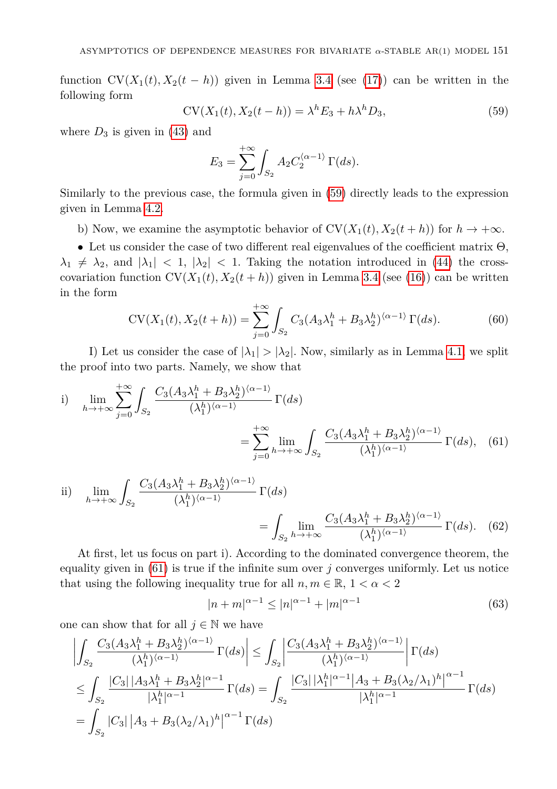function  $CV(X_1(t), X_2(t - h))$  given in Lemma [3.4](#page-5-0) (see [\(17\)](#page-5-3)) can be written in the following form

<span id="page-18-0"></span>
$$
CV(X_1(t), X_2(t - h)) = \lambda^h E_3 + h\lambda^h D_3,
$$
\n(59)

where  $D_3$  is given in [\(43\)](#page-15-0) and

$$
E_3 = \sum_{j=0}^{+\infty} \int_{S_2} A_2 C_2^{\langle \alpha - 1 \rangle} \Gamma(ds).
$$

Similarly to the previous case, the formula given in [\(59\)](#page-18-0) directly leads to the expression given in Lemma [4.2.](#page-6-2)

b) Now, we examine the asymptotic behavior of  $CV(X_1(t), X_2(t + h))$  for  $h \to +\infty$ .

• Let us consider the case of two different real eigenvalues of the coefficient matrix Θ,  $\lambda_1 \neq \lambda_2$ , and  $|\lambda_1| < 1$ ,  $|\lambda_2| < 1$ . Taking the notation introduced in [\(44\)](#page-15-1) the crosscovariation function  $CV(X_1(t), X_2(t + h))$  given in Lemma [3.4](#page-5-0) (see [\(16\)](#page-5-4)) can be written in the form

$$
CV(X_1(t), X_2(t+h)) = \sum_{j=0}^{+\infty} \int_{S_2} C_3 (A_3 \lambda_1^h + B_3 \lambda_2^h)^{\langle \alpha - 1 \rangle} \Gamma(ds). \tag{60}
$$

I) Let us consider the case of  $|\lambda_1| > |\lambda_2|$ . Now, similarly as in Lemma [4.1,](#page-6-1) we split the proof into two parts. Namely, we show that

i) 
$$
\lim_{h \to +\infty} \sum_{j=0}^{+\infty} \int_{S_2} \frac{C_3 (A_3 \lambda_1^h + B_3 \lambda_2^h)^{\langle \alpha - 1 \rangle}}{(\lambda_1^h)^{\langle \alpha - 1 \rangle}} \Gamma(ds)
$$

$$
= \sum_{j=0}^{+\infty} \lim_{h \to +\infty} \int_{S_2} \frac{C_3 (A_3 \lambda_1^h + B_3 \lambda_2^h)^{\langle \alpha - 1 \rangle}}{(\lambda_1^h)^{\langle \alpha - 1 \rangle}} \Gamma(ds), \quad (61)
$$

ii) 
$$
\lim_{h \to +\infty} \int_{S_2} \frac{C_3(A_3\lambda_1^h + B_3\lambda_2^h)^{\langle \alpha - 1 \rangle}}{(\lambda_1^h)^{\langle \alpha - 1 \rangle}} \Gamma(ds)
$$

$$
= \int_{S_2} \lim_{h \to +\infty} \frac{C_3(A_3\lambda_1^h + B_3\lambda_2^h)^{\langle \alpha - 1 \rangle}}{(\lambda_1^h)^{\langle \alpha - 1 \rangle}} \Gamma(ds). \quad (62)
$$

At first, let us focus on part i). According to the dominated convergence theorem, the equality given in  $(61)$  is true if the infinite sum over *j* converges uniformly. Let us notice that using the following inequality true for all  $n, m \in \mathbb{R}, 1 < \alpha < 2$ 

<span id="page-18-3"></span><span id="page-18-2"></span><span id="page-18-1"></span>
$$
|n+m|^{\alpha-1} \le |n|^{\alpha-1} + |m|^{\alpha-1} \tag{63}
$$

one can show that for all  $j \in \mathbb{N}$  we have

$$
\left| \int_{S_2} \frac{C_3(A_3\lambda_1^h + B_3\lambda_2^h)^{\langle \alpha - 1 \rangle}}{(\lambda_1^h)^{\langle \alpha - 1 \rangle}} \Gamma(ds) \right| \leq \int_{S_2} \left| \frac{C_3(A_3\lambda_1^h + B_3\lambda_2^h)^{\langle \alpha - 1 \rangle}}{(\lambda_1^h)^{\langle \alpha - 1 \rangle}} \right| \Gamma(ds)
$$
  
\n
$$
\leq \int_{S_2} \frac{|C_3| |A_3\lambda_1^h + B_3\lambda_2^h|^{\alpha - 1}}{|\lambda_1^h|^{\alpha - 1}} \Gamma(ds) = \int_{S_2} \frac{|C_3| |\lambda_1^h|^{\alpha - 1} |A_3 + B_3(\lambda_2/\lambda_1)^h|^{\alpha - 1}}{|\lambda_1^h|^{\alpha - 1}} \Gamma(ds)
$$
  
\n
$$
= \int_{S_2} |C_3| |A_3 + B_3(\lambda_2/\lambda_1)^h|^{\alpha - 1} \Gamma(ds)
$$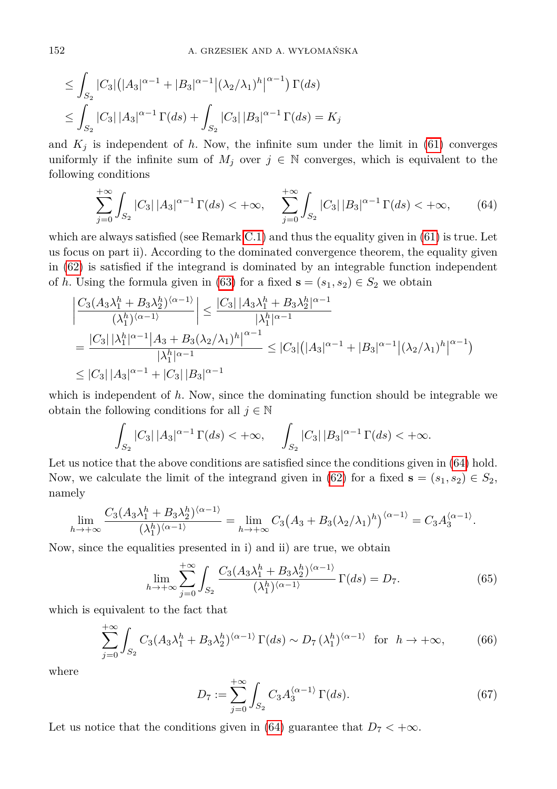$$
\leq \int_{S_2} |C_3| (|A_3|^{\alpha-1} + |B_3|^{\alpha-1} |(\lambda_2/\lambda_1)^h|^{\alpha-1}) \Gamma(ds)
$$
  

$$
\leq \int_{S_2} |C_3| |A_3|^{\alpha-1} \Gamma(ds) + \int_{S_2} |C_3| |B_3|^{\alpha-1} \Gamma(ds) = K_j
$$

and  $K_j$  is independent of h. Now, the infinite sum under the limit in [\(61\)](#page-18-1) converges uniformly if the infinite sum of  $M_j$  over  $j \in \mathbb{N}$  converges, which is equivalent to the following conditions

<span id="page-19-1"></span>
$$
\sum_{j=0}^{+\infty} \int_{S_2} |C_3| \, |A_3|^{\alpha-1} \, \Gamma(ds) < +\infty, \quad \sum_{j=0}^{+\infty} \int_{S_2} |C_3| \, |B_3|^{\alpha-1} \, \Gamma(ds) < +\infty,\tag{64}
$$

which are always satisfied (see Remark [C.1\)](#page-22-11) and thus the equality given in  $(61)$  is true. Let us focus on part ii). According to the dominated convergence theorem, the equality given in [\(62\)](#page-18-2) is satisfied if the integrand is dominated by an integrable function independent of *h*. Using the formula given in [\(63\)](#page-18-3) for a fixed  $\mathbf{s} = (s_1, s_2) \in S_2$  we obtain

$$
\begin{aligned} &\left|\frac{C_3(A_3\lambda_1^h + B_3\lambda_2^h)^{(\alpha-1)}}{(\lambda_1^h)^{(\alpha-1)}}\right| \le \frac{|C_3| \, |A_3\lambda_1^h + B_3\lambda_2^h|^{\alpha-1}}{|\lambda_1^h|^{\alpha-1}} \\ &= \frac{|C_3| \, |\lambda_1^h|^{\alpha-1} \big|A_3 + B_3(\lambda_2/\lambda_1)^h\big|^{\alpha-1}}{|\lambda_1^h|^{\alpha-1}} \le |C_3| \big(|A_3|^{\alpha-1} + |B_3|^{\alpha-1} \big|(\lambda_2/\lambda_1)^h\big|^{\alpha-1}\big) \\ &\le |C_3| \, |A_3|^{\alpha-1} + |C_3| \, |B_3|^{\alpha-1} \end{aligned}
$$

which is independent of h. Now, since the dominating function should be integrable we obtain the following conditions for all  $j \in \mathbb{N}$ 

$$
\int_{S_2} |C_3| \, |A_3|^{\alpha - 1} \, \Gamma(ds) < +\infty, \quad \int_{S_2} |C_3| \, |B_3|^{\alpha - 1} \, \Gamma(ds) < +\infty.
$$

Let us notice that the above conditions are satisfied since the conditions given in  $(64)$  hold. Now, we calculate the limit of the integrand given in [\(62\)](#page-18-2) for a fixed  $\mathbf{s} = (s_1, s_2) \in S_2$ , namely

$$
\lim_{h\to+\infty}\frac{C_3(A_3\lambda_1^h+B_3\lambda_2^h)^{\langle\alpha-1\rangle}}{(\lambda_1^h)^{\langle\alpha-1\rangle}}=\lim_{h\to+\infty}C_3\big(A_3+B_3(\lambda_2/\lambda_1)^h\big)^{\langle\alpha-1\rangle}=C_3A_3^{\langle\alpha-1\rangle}.
$$

Now, since the equalities presented in i) and ii) are true, we obtain

$$
\lim_{h \to +\infty} \sum_{j=0}^{+\infty} \int_{S_2} \frac{C_3(A_3 \lambda_1^h + B_3 \lambda_2^h)^{\langle \alpha - 1 \rangle}}{(\lambda_1^h)^{\langle \alpha - 1 \rangle}} \Gamma(ds) = D_7. \tag{65}
$$

which is equivalent to the fact that

$$
\sum_{j=0}^{+\infty} \int_{S_2} C_3 (A_3 \lambda_1^h + B_3 \lambda_2^h)^{\langle \alpha - 1 \rangle} \Gamma(ds) \sim D_7 (\lambda_1^h)^{\langle \alpha - 1 \rangle} \text{ for } h \to +\infty,
$$
 (66)

<span id="page-19-0"></span>where

$$
D_7 := \sum_{j=0}^{+\infty} \int_{S_2} C_3 A_3^{\langle \alpha - 1 \rangle} \Gamma(ds). \tag{67}
$$

Let us notice that the conditions given in [\(64\)](#page-19-1) guarantee that  $D_7 < +\infty$ .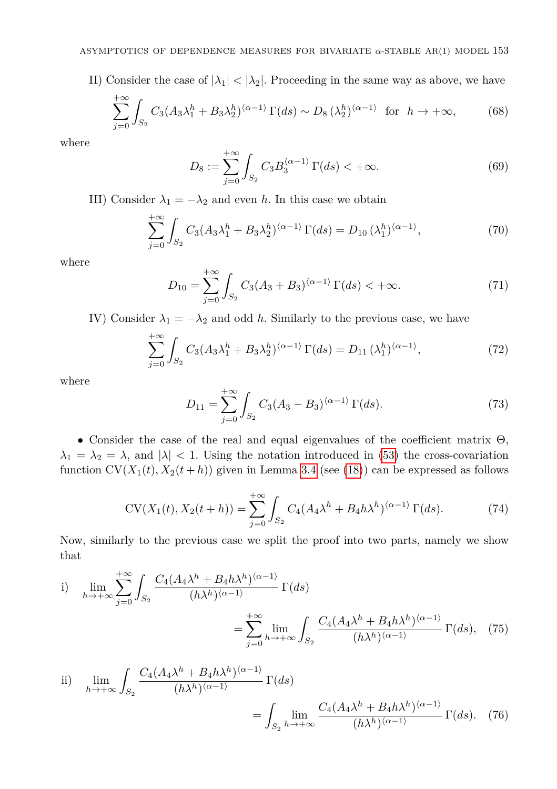II) Consider the case of  $|\lambda_1| < |\lambda_2|$ . Proceeding in the same way as above, we have

$$
\sum_{j=0}^{+\infty} \int_{S_2} C_3 (A_3 \lambda_1^h + B_3 \lambda_2^h)^{\langle \alpha - 1 \rangle} \Gamma(ds) \sim D_8 (\lambda_2^h)^{\langle \alpha - 1 \rangle} \text{ for } h \to +\infty,
$$
 (68)

<span id="page-20-0"></span>where

$$
D_8 := \sum_{j=0}^{+\infty} \int_{S_2} C_3 B_3^{\langle \alpha - 1 \rangle} \Gamma(ds) < +\infty.
$$
 (69)

III) Consider  $\lambda_1 = -\lambda_2$  and even *h*. In this case we obtain

$$
\sum_{j=0}^{+\infty} \int_{S_2} C_3 (A_3 \lambda_1^h + B_3 \lambda_2^h)^{\langle \alpha - 1 \rangle} \Gamma(ds) = D_{10} (\lambda_1^h)^{\langle \alpha - 1 \rangle},\tag{70}
$$

<span id="page-20-1"></span>where

$$
D_{10} = \sum_{j=0}^{+\infty} \int_{S_2} C_3 (A_3 + B_3)^{\langle \alpha - 1 \rangle} \Gamma(ds) < +\infty.
$$
 (71)

IV) Consider  $\lambda_1 = -\lambda_2$  and odd *h*. Similarly to the previous case, we have

$$
\sum_{j=0}^{+\infty} \int_{S_2} C_3 (A_3 \lambda_1^h + B_3 \lambda_2^h)^{\langle \alpha - 1 \rangle} \Gamma(ds) = D_{11} (\lambda_1^h)^{\langle \alpha - 1 \rangle},\tag{72}
$$

<span id="page-20-2"></span>where

<span id="page-20-3"></span>
$$
D_{11} = \sum_{j=0}^{+\infty} \int_{S_2} C_3 (A_3 - B_3)^{\langle \alpha - 1 \rangle} \Gamma(ds). \tag{73}
$$

• Consider the case of the real and equal eigenvalues of the coefficient matrix Θ,  $\lambda_1 = \lambda_2 = \lambda$ , and  $|\lambda| < 1$ . Using the notation introduced in [\(53\)](#page-17-2) the cross-covariation function  $CV(X_1(t), X_2(t + h))$  given in Lemma [3.4](#page-5-0) (see [\(18\)](#page-5-5)) can be expressed as follows

<span id="page-20-4"></span>
$$
CV(X_1(t), X_2(t+h)) = \sum_{j=0}^{+\infty} \int_{S_2} C_4 (A_4 \lambda^h + B_4 h \lambda^h)^{\langle \alpha - 1 \rangle} \Gamma(ds). \tag{74}
$$

Now, similarly to the previous case we split the proof into two parts, namely we show that

i) 
$$
\lim_{h \to +\infty} \sum_{j=0}^{+\infty} \int_{S_2} \frac{C_4 (A_4 \lambda^h + B_4 h \lambda^h)^{\langle \alpha - 1 \rangle}}{(h \lambda^h)^{\langle \alpha - 1 \rangle}} \Gamma(ds)
$$

$$
= \sum_{j=0}^{+\infty} \lim_{h \to +\infty} \int_{S_2} \frac{C_4 (A_4 \lambda^h + B_4 h \lambda^h)^{\langle \alpha - 1 \rangle}}{(h \lambda^h)^{\langle \alpha - 1 \rangle}} \Gamma(ds), \quad (75)
$$

ii) 
$$
\lim_{h \to +\infty} \int_{S_2} \frac{C_4 (A_4 \lambda^h + B_4 h \lambda^h)^{\langle \alpha - 1 \rangle}}{(h \lambda^h)^{\langle \alpha - 1 \rangle}} \Gamma(ds)
$$

$$
= \int_{S_2} \lim_{h \to +\infty} \frac{C_4 (A_4 \lambda^h + B_4 h \lambda^h)^{\langle \alpha - 1 \rangle}}{(h \lambda^h)^{\langle \alpha - 1 \rangle}} \Gamma(ds). \quad (76)
$$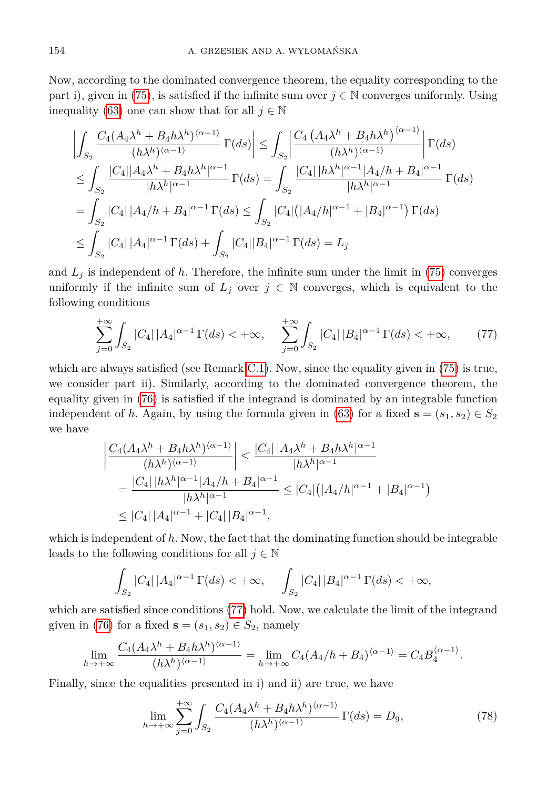Now, according to the dominated convergence theorem, the equality corresponding to the part i), given in [\(75\)](#page-20-3), is satisfied if the infinite sum over  $j \in \mathbb{N}$  converges uniformly. Using inequality [\(63\)](#page-18-3) one can show that for all  $j \in \mathbb{N}$ 

$$
\left| \int_{S_2} \frac{C_4 (A_4 \lambda^h + B_4 h \lambda^h)^{\langle \alpha - 1 \rangle}}{(h \lambda^h)^{\langle \alpha - 1 \rangle}} \Gamma(ds) \right| \leq \int_{S_2} \left| \frac{C_4 (A_4 \lambda^h + B_4 h \lambda^h)^{\langle \alpha - 1 \rangle}}{(h \lambda^h)^{\langle \alpha - 1 \rangle}} \right| \Gamma(ds)
$$
  
\n
$$
\leq \int_{S_2} \frac{|C_4||A_4 \lambda^h + B_4 h \lambda^h|^{\alpha - 1}}{|h \lambda^h|^{\alpha - 1}} \Gamma(ds) = \int_{S_2} \frac{|C_4||h \lambda^h|^{\alpha - 1}|A_4/h + B_4|^{\alpha - 1}}{|h \lambda^h|^{\alpha - 1}} \Gamma(ds)
$$
  
\n
$$
= \int_{S_2} |C_4||A_4/h + B_4|^{\alpha - 1} \Gamma(ds) \leq \int_{S_2} |C_4| (|A_4/h|^{\alpha - 1} + |B_4|^{\alpha - 1}) \Gamma(ds)
$$
  
\n
$$
\leq \int_{S_2} |C_4||A_4|^{\alpha - 1} \Gamma(ds) + \int_{S_2} |C_4||B_4|^{\alpha - 1} \Gamma(ds) = L_j
$$

and  $L_j$  is independent of h. Therefore, the infinite sum under the limit in  $(75)$  converges uniformly if the infinite sum of  $L_j$  over  $j \in \mathbb{N}$  converges, which is equivalent to the following conditions

<span id="page-21-0"></span>
$$
\sum_{j=0}^{+\infty} \int_{S_2} |C_4| \, |A_4|^{\alpha-1} \, \Gamma(ds) < +\infty, \quad \sum_{j=0}^{+\infty} \int_{S_2} |C_4| \, |B_4|^{\alpha-1} \, \Gamma(ds) < +\infty,\tag{77}
$$

which are always satisfied (see Remark [C.1\)](#page-22-11). Now, since the equality given in  $(75)$  is true, we consider part ii). Similarly, according to the dominated convergence theorem, the equality given in [\(76\)](#page-20-4) is satisfied if the integrand is dominated by an integrable function independent of *h*. Again, by using the formula given in [\(63\)](#page-18-3) for a fixed  $\mathbf{s} = (s_1, s_2) \in S_2$ we have

$$
\left| \frac{C_4(A_4\lambda^h + B_4h\lambda^h)^{\langle \alpha - 1 \rangle}}{(h\lambda^h)^{\langle \alpha - 1 \rangle}} \right| \le \frac{|C_4||A_4\lambda^h + B_4h\lambda^h|^{\alpha - 1}}{|h\lambda^h|^{\alpha - 1}}
$$
  
= 
$$
\frac{|C_4||h\lambda^h|^{\alpha - 1}|A_4/h + B_4|^{\alpha - 1}}{|h\lambda^h|^{\alpha - 1}} \le |C_4|(|A_4/h|^{\alpha - 1} + |B_4|^{\alpha - 1})
$$
  
\$\le |C\_4||A\_4|^{\alpha - 1} + |C\_4||B\_4|^{\alpha - 1},

which is independent of *h*. Now, the fact that the dominating function should be integrable leads to the following conditions for all  $j \in \mathbb{N}$ 

$$
\int_{S_2} |C_4| \, |A_4|^{\alpha - 1} \, \Gamma(ds) < +\infty, \quad \int_{S_2} |C_4| \, |B_4|^{\alpha - 1} \, \Gamma(ds) < +\infty,
$$

which are satisfied since conditions [\(77\)](#page-21-0) hold. Now, we calculate the limit of the integrand given in [\(76\)](#page-20-4) for a fixed  $\mathbf{s} = (s_1, s_2) \in S_2$ , namely

$$
\lim_{h\to+\infty}\frac{C_4(A_4\lambda^h + B_4h\lambda^h)^{\langle\alpha-1\rangle}}{(h\lambda^h)^{\langle\alpha-1\rangle}} = \lim_{h\to+\infty}C_4(A_4/h + B_4)^{\langle\alpha-1\rangle} = C_4B_4^{\langle\alpha-1\rangle}.
$$

Finally, since the equalities presented in i) and ii) are true, we have

$$
\lim_{h \to +\infty} \sum_{j=0}^{+\infty} \int_{S_2} \frac{C_4 (A_4 \lambda^h + B_4 h \lambda^h)^{\langle \alpha - 1 \rangle}}{(h \lambda^h)^{\langle \alpha - 1 \rangle}} \Gamma(ds) = D_9,\tag{78}
$$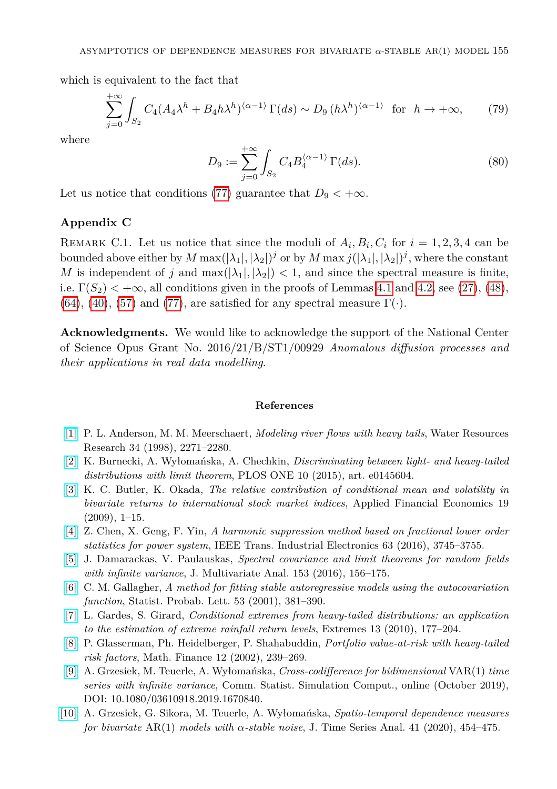which is equivalent to the fact that

$$
\sum_{j=0}^{+\infty} \int_{S_2} C_4 (A_4 \lambda^h + B_4 h \lambda^h)^{\langle \alpha - 1 \rangle} \Gamma(ds) \sim D_9 \left( h \lambda^h \right)^{\langle \alpha - 1 \rangle} \text{ for } h \to +\infty,
$$
 (79)

<span id="page-22-10"></span>where

$$
D_9 := \sum_{j=0}^{+\infty} \int_{S_2} C_4 B_4^{\langle \alpha - 1 \rangle} \Gamma(ds). \tag{80}
$$

Let us notice that conditions [\(77\)](#page-21-0) guarantee that  $D_9 < +\infty$ .

## **Appendix C**

<span id="page-22-11"></span>REMARK C.1. Let us notice that since the moduli of  $A_i, B_i, C_i$  for  $i = 1, 2, 3, 4$  can be bounded above either by  $M \max(|\lambda_1|, |\lambda_2|)^j$  or by  $M \max j(|\lambda_1|, |\lambda_2|)^j$ , where the constant *M* is independent of *j* and  $\max(|\lambda_1|, |\lambda_2|) < 1$ , and since the spectral measure is finite, i.e.  $\Gamma(S_2) < +\infty$ , all conditions given in the proofs of Lemmas [4.1](#page-6-1) and [4.2,](#page-6-2) see [\(27\)](#page-11-0), [\(48\)](#page-16-2), [\(64\)](#page-19-1), [\(40\)](#page-14-0), [\(57\)](#page-17-3) and [\(77\)](#page-21-0), are satisfied for any spectral measure  $\Gamma(\cdot)$ .

**Acknowledgments.** We would like to acknowledge the support of the National Center of Science Opus Grant No. 2016/21/B/ST1/00929 *Anomalous diffusion processes and their applications in real data modelling*.

## **References**

- <span id="page-22-3"></span>[\[1\]](http://dx.doi.org/10.1029/98WR01449) P. L. Anderson, M. M. Meerschaert, *Modeling river flows with heavy tails*, Water Resources Research 34 (1998), 2271–2280.
- <span id="page-22-0"></span>[\[2\]](http://dx.doi.org/10.1371/journal.pone.0145604) K. Burnecki, A. Wyłomańska, A. Chechkin, *Discriminating between light- and heavy-tailed distributions with limit theorem*, PLOS ONE 10 (2015), art. e0145604.
- <span id="page-22-4"></span>[\[3\]](http://dx.doi.org/10.1080/09603100701735961) K. C. Butler, K. Okada, *The relative contribution of conditional mean and volatility in bivariate returns to international stock market indices*, Applied Financial Economics 19  $(2009), 1-15.$
- <span id="page-22-6"></span>[\[4\]](http://dx.doi.org/10.1109/TIE.2016.2521347) Z. Chen, X. Geng, F. Yin, *A harmonic suppression method based on fractional lower order statistics for power system*, IEEE Trans. Industrial Electronics 63 (2016), 3745–3755.
- <span id="page-22-7"></span>[\[5\]](http://dx.doi.org/10.1016/j.jmva.2016.09.013) J. Damarackas, V. Paulauskas, *Spectral covariance and limit theorems for random fields with infinite variance*, J. Multivariate Anal. 153 (2016), 156–175.
- <span id="page-22-5"></span>[\[6\]](http://dx.doi.org/10.1016/S0167-7152(01)00041-4) C. M. Gallagher, *A method for fitting stable autoregressive models using the autocovariation function*, Statist. Probab. Lett. 53 (2001), 381–390.
- <span id="page-22-1"></span>[\[7\]](http://dx.doi.org/10.1007/s10687-010-0100-z) L. Gardes, S. Girard, *Conditional extremes from heavy-tailed distributions: an application to the estimation of extreme rainfall return levels*, Extremes 13 (2010), 177–204.
- <span id="page-22-2"></span>[\[8\]](http://dx.doi.org/10.1111/1467-9965.00141) P. Glasserman, Ph. Heidelberger, P. Shahabuddin, *Portfolio value-at-risk with heavy-tailed risk factors*, Math. Finance 12 (2002), 239–269.
- <span id="page-22-9"></span>[\[9\]](http://dx.doi.org/10.1080/03610918.2019.1670840) A. Grzesiek, M. Teuerle, A. Wyłomańska, *Cross-codifference for bidimensional* VAR(1) *time series with infinite variance*, Comm. Statist. Simulation Comput., online (October 2019), DOI: 10.1080/03610918.2019.1670840.
- <span id="page-22-8"></span>[\[10\]](http://dx.doi.org/10.1111/jtsa.12517) A. Grzesiek, G. Sikora, M. Teuerle, A. Wyłomańska, *Spatio-temporal dependence measures for bivariate* AR(1) *models with α-stable noise*, J. Time Series Anal. 41 (2020), 454–475.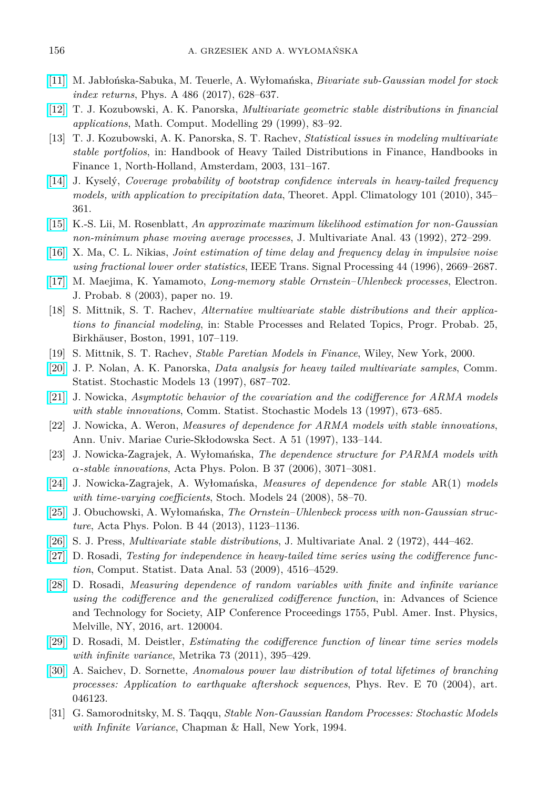- <span id="page-23-12"></span>[\[11\]](http://dx.doi.org/10.1016/j.physa.2017.05.080) M. Jabłońska-Sabuka, M. Teuerle, A. Wyłomańska, *Bivariate sub-Gaussian model for stock index returns*, Phys. A 486 (2017), 628–637.
- <span id="page-23-13"></span>[\[12\]](http://dx.doi.org/10.1016/S0895-7177(99)00094-1) T. J. Kozubowski, A. K. Panorska, *Multivariate geometric stable distributions in financial applications*, Math. Comput. Modelling 29 (1999), 83–92.
- <span id="page-23-8"></span>[13] T. J. Kozubowski, A. K. Panorska, S. T. Rachev, *Statistical issues in modeling multivariate stable portfolios*, in: Handbook of Heavy Tailed Distributions in Finance, Handbooks in Finance 1, North-Holland, Amsterdam, 2003, 131–167.
- <span id="page-23-2"></span>[\[14\]](http://dx.doi.org/10.1007/s00704-009-0190-1) J. Kyselý, *Coverage probability of bootstrap confidence intervals in heavy-tailed frequency models, with application to precipitation data*, Theoret. Appl. Climatology 101 (2010), 345– 361.
- <span id="page-23-9"></span>[\[15\]](http://dx.doi.org/10.1016/0047-259X(92)90037-G) K.-S. Lii, M. Rosenblatt, *An approximate maximum likelihood estimation for non-Gaussian non-minimum phase moving average processes*, J. Multivariate Anal. 43 (1992), 272–299.
- <span id="page-23-16"></span>[\[16\]](http://dx.doi.org/10.1109/78.542175) X. Ma, C. L. Nikias, *Joint estimation of time delay and frequency delay in impulsive noise using fractional lower order statistics*, IEEE Trans. Signal Processing 44 (1996), 2669–2687.
- <span id="page-23-20"></span>[\[17\]](http://dx.doi.org/10.1214/EJP.v8-168) M. Maejima, K. Yamamoto, *Long-memory stable Ornstein–Uhlenbeck processes*, Electron. J. Probab. 8 (2003), paper no. 19.
- <span id="page-23-7"></span>[18] S. Mittnik, S. T. Rachev, *Alternative multivariate stable distributions and their applications to financial modeling*, in: Stable Processes and Related Topics, Progr. Probab. 25, Birkhäuser, Boston, 1991, 107–119.
- <span id="page-23-0"></span>[19] S. Mittnik, S. T. Rachev, *Stable Paretian Models in Finance*, Wiley, New York, 2000.
- <span id="page-23-4"></span>[\[20\]](http://dx.doi.org/10.1080/15326349708807447) J. P. Nolan, A. K. Panorska, *Data analysis for heavy tailed multivariate samples*, Comm. Statist. Stochastic Models 13 (1997), 687–702.
- <span id="page-23-18"></span>[\[21\]](http://dx.doi.org/10.1080/15326349708807446) J. Nowicka, *Asymptotic behavior of the covariation and the codifference for ARMA models with stable innovations*, Comm. Statist. Stochastic Models 13 (1997), 673–685.
- <span id="page-23-11"></span>[22] J. Nowicka, A. Weron, *Measures of dependence for ARMA models with stable innovations*, Ann. Univ. Mariae Curie-Skłodowska Sect. A 51 (1997), 133–144.
- <span id="page-23-17"></span>[23] J. Nowicka-Zagrajek, A. Wyłomańska, *The dependence structure for PARMA models with α-stable innovations*, Acta Phys. Polon. B 37 (2006), 3071–3081.
- <span id="page-23-10"></span>[\[24\]](http://dx.doi.org/10.1080/15326340701826906) J. Nowicka-Zagrajek, A. Wyłomańska, *Measures of dependence for stable* AR(1) *models with time-varying coefficients*, Stoch. Models 24 (2008), 58–70.
- <span id="page-23-1"></span>[\[25\]](http://dx.doi.org/10.5506/APhysPolB.44.1123) J. Obuchowski, A. Wyłomańska, *The Ornstein–Uhlenbeck process with non-Gaussian structure*, Acta Phys. Polon. B 44 (2013), 1123–1136.
- <span id="page-23-6"></span>[\[26\]](http://dx.doi.org/10.1016/0047-259X(72)90038-3) S. J. Press, *Multivariate stable distributions*, J. Multivariate Anal. 2 (1972), 444–462.
- <span id="page-23-15"></span>[\[27\]](http://dx.doi.org/10.1016/j.csda.2009.07.009) D. Rosadi, *Testing for independence in heavy-tailed time series using the codifference function*, Comput. Statist. Data Anal. 53 (2009), 4516–4529.
- <span id="page-23-19"></span>[\[28\]](http://dx.doi.org/10.1063/1.4958544) D. Rosadi, *Measuring dependence of random variables with finite and infinite variance using the codifference and the generalized codifference function*, in: Advances of Science and Technology for Society, AIP Conference Proceedings 1755, Publ. Amer. Inst. Physics, Melville, NY, 2016, art. 120004.
- <span id="page-23-14"></span>[\[29\]](http://dx.doi.org/10.1007/s00184-009-0285-9) D. Rosadi, M. Deistler, *Estimating the codifference function of linear time series models with infinite variance*, Metrika 73 (2011), 395–429.
- <span id="page-23-3"></span>[\[30\]](http://dx.doi.org/10.1103/PhysRevE.70.046123) A. Saichev, D. Sornette, *Anomalous power law distribution of total lifetimes of branching processes: Application to earthquake aftershock sequences*, Phys. Rev. E 70 (2004), art. 046123.
- <span id="page-23-5"></span>[31] G. Samorodnitsky, M. S. Taqqu, *Stable Non-Gaussian Random Processes: Stochastic Models with Infinite Variance*, Chapman & Hall, New York, 1994.